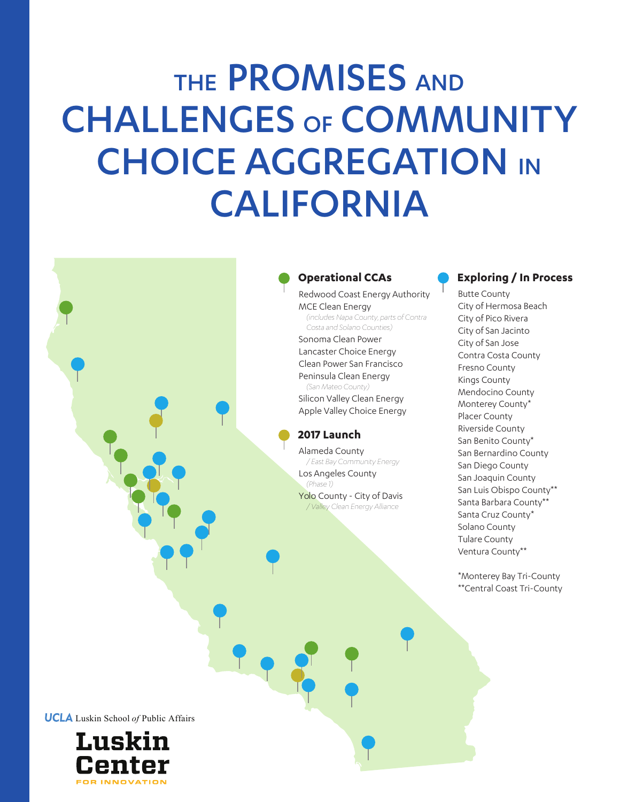## THE PROMISES AND CHALLENGES OF COMMUNITY CHOICE AGGREGATION IN CALIFORNIA

#### **Operational CCAs**

Redwood Coast Energy Authority MCE Clean Energy *(includes Napa County, parts of Contra Costa and Solano Counties)* Sonoma Clean Power Lancaster Choice Energy Clean Power San Francisco Peninsula Clean Energy *(San Mateo County)* Silicon Valley Clean Energy Apple Valley Choice Energy

#### **2017 Launch**

Alameda County */ East Bay Community Energy* Los Angeles County *(Phase 1)* Yolo County - City of Davis */ Valley Clean Energy Alliance*

#### **Exploring / In Process**

Butte County City of Hermosa Beach City of Pico Rivera City of San Jacinto City of San Jose Contra Costa County Fresno County Kings County Mendocino County Monterey County\* Placer County Riverside County San Benito County\* San Bernardino County San Diego County San Joaquin County San Luis Obispo County\*\* Santa Barbara County\*\* Santa Cruz County\* Solano County Tulare County Ventura County\*\*

\*Monterey Bay Tri-County \*\*Central Coast Tri-County

**UCLA** Luskin School of Public Affairs

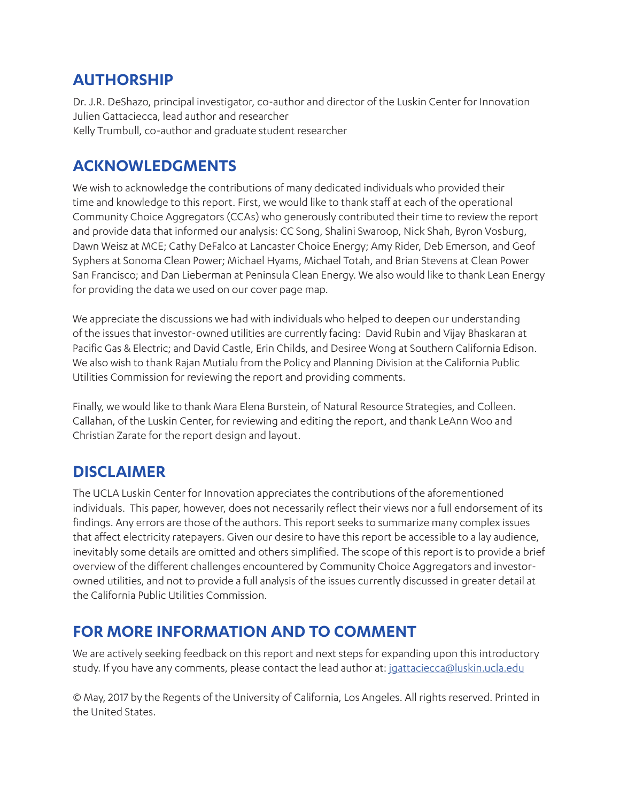## **AUTHORSHIP**

Dr. J.R. DeShazo, principal investigator, co-author and director of the Luskin Center for Innovation Julien Gattaciecca, lead author and researcher Kelly Trumbull, co-author and graduate student researcher

## **ACKNOWLEDGMENTS**

We wish to acknowledge the contributions of many dedicated individuals who provided their time and knowledge to this report. First, we would like to thank staff at each of the operational Community Choice Aggregators (CCAs) who generously contributed their time to review the report and provide data that informed our analysis: CC Song, Shalini Swaroop, Nick Shah, Byron Vosburg, Dawn Weisz at MCE; Cathy DeFalco at Lancaster Choice Energy; Amy Rider, Deb Emerson, and Geof Syphers at Sonoma Clean Power; Michael Hyams, Michael Totah, and Brian Stevens at Clean Power San Francisco; and Dan Lieberman at Peninsula Clean Energy. We also would like to thank Lean Energy for providing the data we used on our cover page map.

We appreciate the discussions we had with individuals who helped to deepen our understanding of the issues that investor-owned utilities are currently facing: David Rubin and Vijay Bhaskaran at Pacific Gas & Electric; and David Castle, Erin Childs, and Desiree Wong at Southern California Edison. We also wish to thank Rajan Mutialu from the Policy and Planning Division at the California Public Utilities Commission for reviewing the report and providing comments.

Finally, we would like to thank Mara Elena Burstein, of Natural Resource Strategies, and Colleen. Callahan, of the Luskin Center, for reviewing and editing the report, and thank LeAnn Woo and Christian Zarate for the report design and layout.

## **DISCLAIMER**

The UCLA Luskin Center for Innovation appreciates the contributions of the aforementioned individuals. This paper, however, does not necessarily reflect their views nor a full endorsement of its findings. Any errors are those of the authors. This report seeks to summarize many complex issues that affect electricity ratepayers. Given our desire to have this report be accessible to a lay audience, inevitably some details are omitted and others simplified. The scope of this report is to provide a brief overview of the different challenges encountered by Community Choice Aggregators and investorowned utilities, and not to provide a full analysis of the issues currently discussed in greater detail at the California Public Utilities Commission.

## **FOR MORE INFORMATION AND TO COMMENT**

We are actively seeking feedback on this report and next steps for expanding upon this introductory study. If you have any comments, please contact the lead author at: [jgattaciecca@luskin.ucla.edu](http://jgattaciecca@luskin.ucla.edu)

© May, 2017 by the Regents of the University of California, Los Angeles. All rights reserved. Printed in the United States.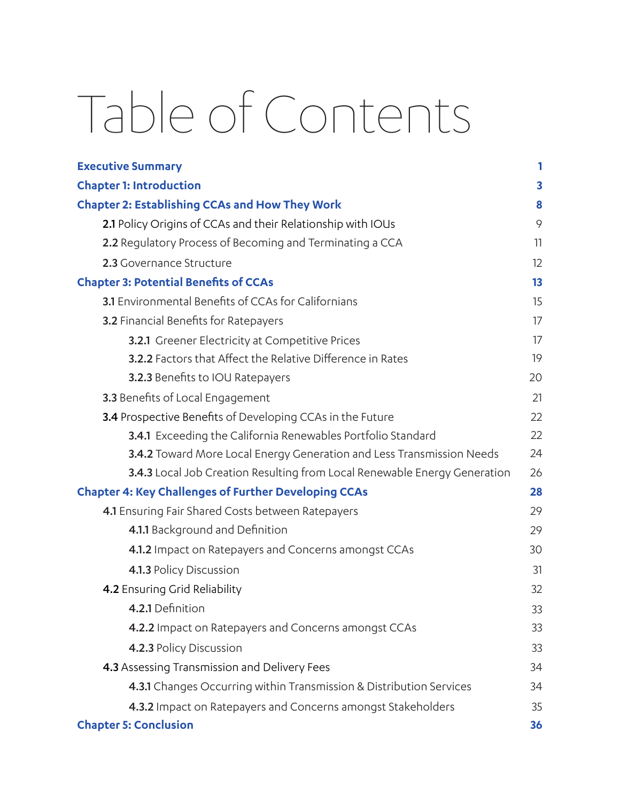## Table of Contents

| <b>Executive Summary</b>                                                  | 1  |
|---------------------------------------------------------------------------|----|
| <b>Chapter 1: Introduction</b>                                            | 3  |
| <b>Chapter 2: Establishing CCAs and How They Work</b>                     | 8  |
| 2.1 Policy Origins of CCAs and their Relationship with IOUs               | 9  |
| 2.2 Regulatory Process of Becoming and Terminating a CCA                  | 11 |
| 2.3 Governance Structure                                                  | 12 |
| <b>Chapter 3: Potential Benefits of CCAs</b>                              | 13 |
| 3.1 Environmental Benefits of CCAs for Californians                       | 15 |
| 3.2 Financial Benefits for Ratepayers                                     | 17 |
| 3.2.1 Greener Electricity at Competitive Prices                           | 17 |
| 3.2.2 Factors that Affect the Relative Difference in Rates                | 19 |
| 3.2.3 Benefits to IOU Ratepayers                                          | 20 |
| 3.3 Benefits of Local Engagement                                          | 21 |
| 3.4 Prospective Benefits of Developing CCAs in the Future                 | 22 |
| 3.4.1 Exceeding the California Renewables Portfolio Standard              | 22 |
| 3.4.2 Toward More Local Energy Generation and Less Transmission Needs     | 24 |
| 3.4.3 Local Job Creation Resulting from Local Renewable Energy Generation | 26 |
| <b>Chapter 4: Key Challenges of Further Developing CCAs</b>               | 28 |
| 4.1 Ensuring Fair Shared Costs between Ratepayers                         | 29 |
| 4.1.1 Background and Definition                                           | 29 |
| 4.1.2 Impact on Ratepayers and Concerns amongst CCAs                      | 30 |
| 4.1.3 Policy Discussion                                                   | 31 |
| 4.2 Ensuring Grid Reliability                                             | 32 |
| 4.2.1 Definition                                                          | 33 |
| 4.2.2 Impact on Ratepayers and Concerns amongst CCAs                      | 33 |
| 4.2.3 Policy Discussion                                                   | 33 |
| 4.3 Assessing Transmission and Delivery Fees                              | 34 |
| 4.3.1 Changes Occurring within Transmission & Distribution Services       | 34 |
| 4.3.2 Impact on Ratepayers and Concerns amongst Stakeholders              | 35 |
| <b>Chapter 5: Conclusion</b>                                              | 36 |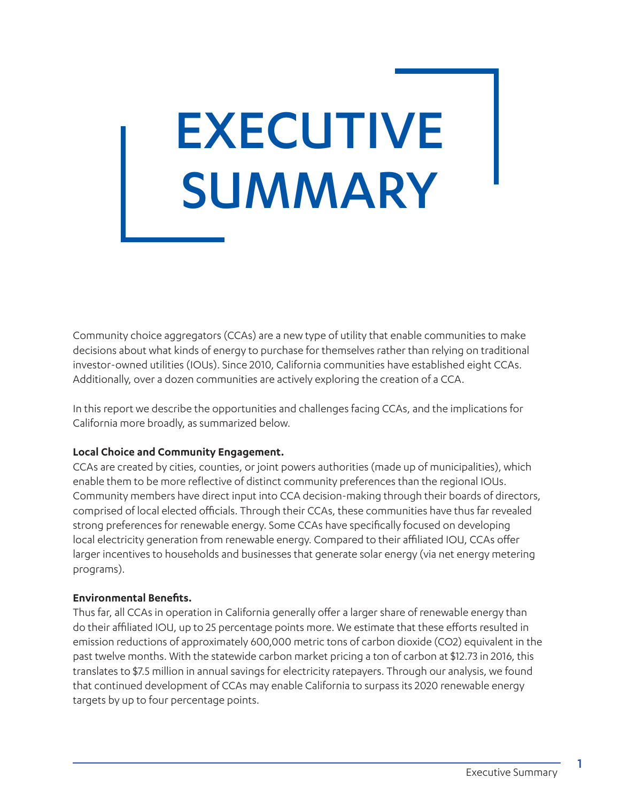# EXECUTIVE SUMMARY

Community choice aggregators (CCAs) are a new type of utility that enable communities to make decisions about what kinds of energy to purchase for themselves rather than relying on traditional investor-owned utilities (IOUs). Since 2010, California communities have established eight CCAs. Additionally, over a dozen communities are actively exploring the creation of a CCA.

In this report we describe the opportunities and challenges facing CCAs, and the implications for California more broadly, as summarized below.

#### **Local Choice and Community Engagement.**

CCAs are created by cities, counties, or joint powers authorities (made up of municipalities), which enable them to be more reflective of distinct community preferences than the regional IOUs. Community members have direct input into CCA decision-making through their boards of directors, comprised of local elected officials. Through their CCAs, these communities have thus far revealed strong preferences for renewable energy. Some CCAs have specifically focused on developing local electricity generation from renewable energy. Compared to their affiliated IOU, CCAs offer larger incentives to households and businesses that generate solar energy (via net energy metering programs).

#### **Environmental Benefits.**

Thus far, all CCAs in operation in California generally offer a larger share of renewable energy than do their affiliated IOU, up to 25 percentage points more. We estimate that these efforts resulted in emission reductions of approximately 600,000 metric tons of carbon dioxide (CO2) equivalent in the past twelve months. With the statewide carbon market pricing a ton of carbon at \$12.73 in 2016, this translates to \$7.5 million in annual savings for electricity ratepayers. Through our analysis, we found that continued development of CCAs may enable California to surpass its 2020 renewable energy targets by up to four percentage points.

1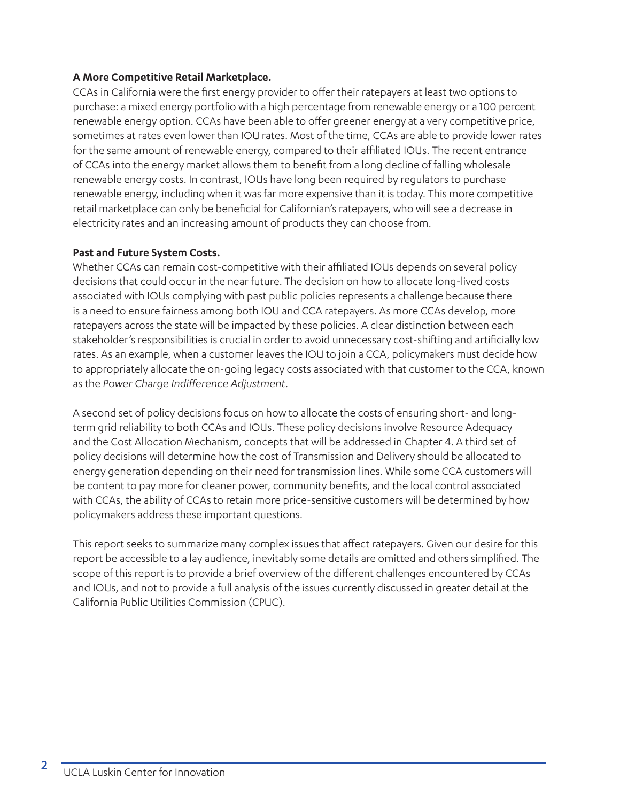#### **A More Competitive Retail Marketplace.**

CCAs in California were the first energy provider to offer their ratepayers at least two options to purchase: a mixed energy portfolio with a high percentage from renewable energy or a 100 percent renewable energy option. CCAs have been able to offer greener energy at a very competitive price, sometimes at rates even lower than IOU rates. Most of the time, CCAs are able to provide lower rates for the same amount of renewable energy, compared to their affiliated IOUs. The recent entrance of CCAs into the energy market allows them to benefit from a long decline of falling wholesale renewable energy costs. In contrast, IOUs have long been required by regulators to purchase renewable energy, including when it was far more expensive than it is today. This more competitive retail marketplace can only be beneficial for Californian's ratepayers, who will see a decrease in electricity rates and an increasing amount of products they can choose from.

#### **Past and Future System Costs.**

Whether CCAs can remain cost-competitive with their affiliated IOUs depends on several policy decisions that could occur in the near future. The decision on how to allocate long-lived costs associated with IOUs complying with past public policies represents a challenge because there is a need to ensure fairness among both IOU and CCA ratepayers. As more CCAs develop, more ratepayers across the state will be impacted by these policies. A clear distinction between each stakeholder's responsibilities is crucial in order to avoid unnecessary cost-shifting and artificially low rates. As an example, when a customer leaves the IOU to join a CCA, policymakers must decide how to appropriately allocate the on-going legacy costs associated with that customer to the CCA, known as the *Power Charge Indifference Adjustment*.

A second set of policy decisions focus on how to allocate the costs of ensuring short- and longterm grid reliability to both CCAs and IOUs. These policy decisions involve Resource Adequacy and the Cost Allocation Mechanism, concepts that will be addressed in Chapter 4. A third set of policy decisions will determine how the cost of Transmission and Delivery should be allocated to energy generation depending on their need for transmission lines. While some CCA customers will be content to pay more for cleaner power, community benefits, and the local control associated with CCAs, the ability of CCAs to retain more price-sensitive customers will be determined by how policymakers address these important questions.

This report seeks to summarize many complex issues that affect ratepayers. Given our desire for this report be accessible to a lay audience, inevitably some details are omitted and others simplified. The scope of this report is to provide a brief overview of the different challenges encountered by CCAs and IOUs, and not to provide a full analysis of the issues currently discussed in greater detail at the California Public Utilities Commission (CPUC).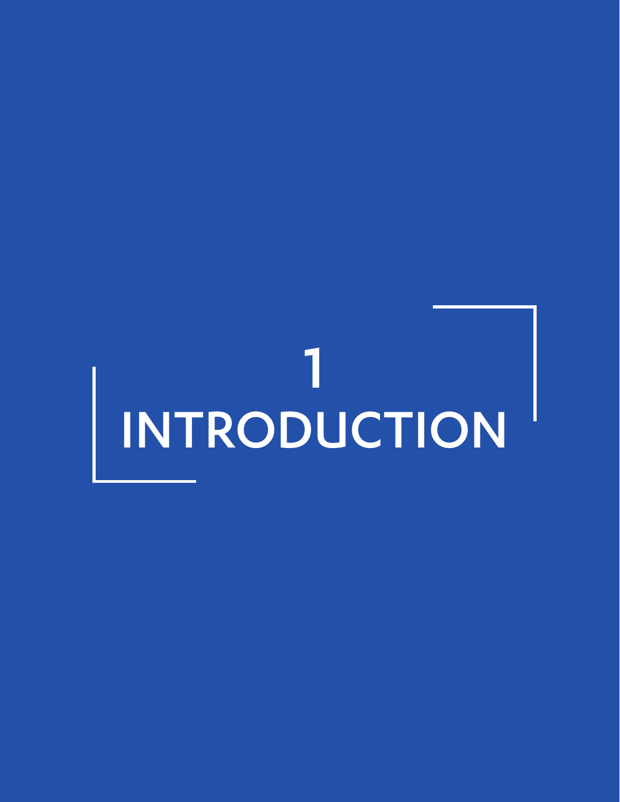# 1 INTRODUCTION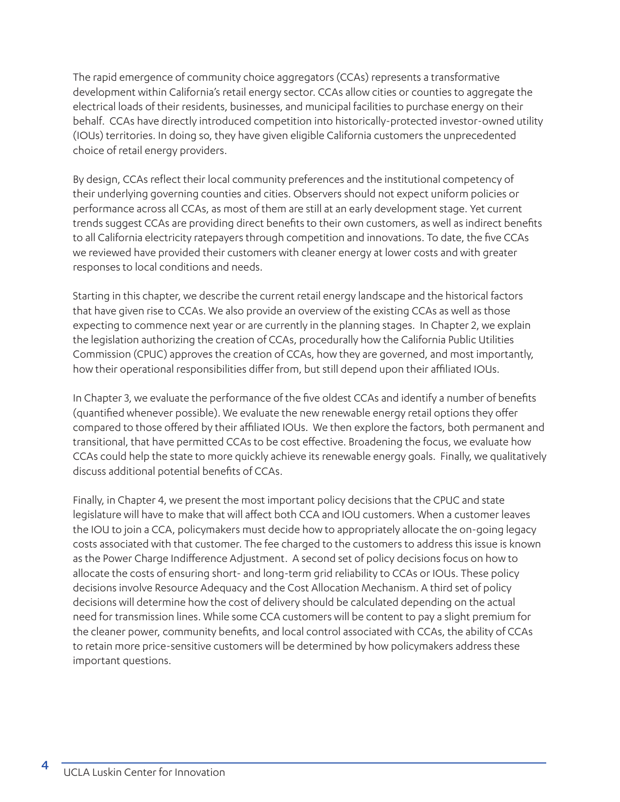The rapid emergence of community choice aggregators (CCAs) represents a transformative development within California's retail energy sector. CCAs allow cities or counties to aggregate the electrical loads of their residents, businesses, and municipal facilities to purchase energy on their behalf. CCAs have directly introduced competition into historically-protected investor-owned utility (IOUs) territories. In doing so, they have given eligible California customers the unprecedented choice of retail energy providers.

By design, CCAs reflect their local community preferences and the institutional competency of their underlying governing counties and cities. Observers should not expect uniform policies or performance across all CCAs, as most of them are still at an early development stage. Yet current trends suggest CCAs are providing direct benefits to their own customers, as well as indirect benefits to all California electricity ratepayers through competition and innovations. To date, the five CCAs we reviewed have provided their customers with cleaner energy at lower costs and with greater responses to local conditions and needs.

Starting in this chapter, we describe the current retail energy landscape and the historical factors that have given rise to CCAs. We also provide an overview of the existing CCAs as well as those expecting to commence next year or are currently in the planning stages. In Chapter 2, we explain the legislation authorizing the creation of CCAs, procedurally how the California Public Utilities Commission (CPUC) approves the creation of CCAs, how they are governed, and most importantly, how their operational responsibilities differ from, but still depend upon their affiliated IOUs.

In Chapter 3, we evaluate the performance of the five oldest CCAs and identify a number of benefits (quantified whenever possible). We evaluate the new renewable energy retail options they offer compared to those offered by their affiliated IOUs. We then explore the factors, both permanent and transitional, that have permitted CCAs to be cost effective. Broadening the focus, we evaluate how CCAs could help the state to more quickly achieve its renewable energy goals. Finally, we qualitatively discuss additional potential benefits of CCAs.

Finally, in Chapter 4, we present the most important policy decisions that the CPUC and state legislature will have to make that will affect both CCA and IOU customers. When a customer leaves the IOU to join a CCA, policymakers must decide how to appropriately allocate the on-going legacy costs associated with that customer. The fee charged to the customers to address this issue is known as the Power Charge Indifference Adjustment. A second set of policy decisions focus on how to allocate the costs of ensuring short- and long-term grid reliability to CCAs or IOUs. These policy decisions involve Resource Adequacy and the Cost Allocation Mechanism. A third set of policy decisions will determine how the cost of delivery should be calculated depending on the actual need for transmission lines. While some CCA customers will be content to pay a slight premium for the cleaner power, community benefits, and local control associated with CCAs, the ability of CCAs to retain more price-sensitive customers will be determined by how policymakers address these important questions.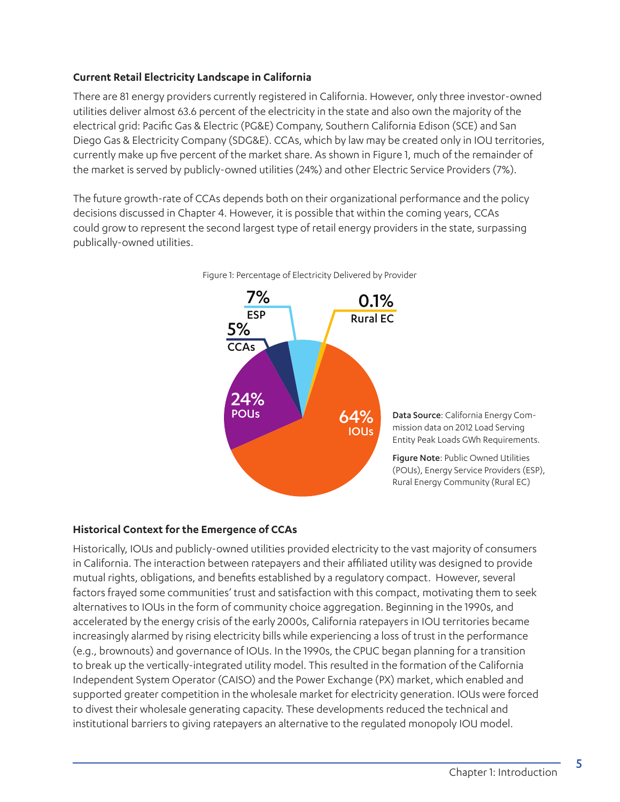#### **Current Retail Electricity Landscape in California**

There are 81 energy providers currently registered in California. However, only three investor-owned utilities deliver almost 63.6 percent of the electricity in the state and also own the majority of the electrical grid: Pacific Gas & Electric (PG&E) Company, Southern California Edison (SCE) and San Diego Gas & Electricity Company (SDG&E). CCAs, which by law may be created only in IOU territories, currently make up five percent of the market share. As shown in Figure 1, much of the remainder of the market is served by publicly-owned utilities (24%) and other Electric Service Providers (7%).

The future growth-rate of CCAs depends both on their organizational performance and the policy decisions discussed in Chapter 4. However, it is possible that within the coming years, CCAs could grow to represent the second largest type of retail energy providers in the state, surpassing publically-owned utilities.





#### **Historical Context for the Emergence of CCAs**

Historically, IOUs and publicly-owned utilities provided electricity to the vast majority of consumers in California. The interaction between ratepayers and their affiliated utility was designed to provide mutual rights, obligations, and benefits established by a regulatory compact. However, several factors frayed some communities' trust and satisfaction with this compact, motivating them to seek alternatives to IOUs in the form of community choice aggregation. Beginning in the 1990s, and accelerated by the energy crisis of the early 2000s, California ratepayers in IOU territories became increasingly alarmed by rising electricity bills while experiencing a loss of trust in the performance (e.g., brownouts) and governance of IOUs. In the 1990s, the CPUC began planning for a transition to break up the vertically-integrated utility model. This resulted in the formation of the California Independent System Operator (CAISO) and the Power Exchange (PX) market, which enabled and supported greater competition in the wholesale market for electricity generation. IOUs were forced to divest their wholesale generating capacity. These developments reduced the technical and institutional barriers to giving ratepayers an alternative to the regulated monopoly IOU model.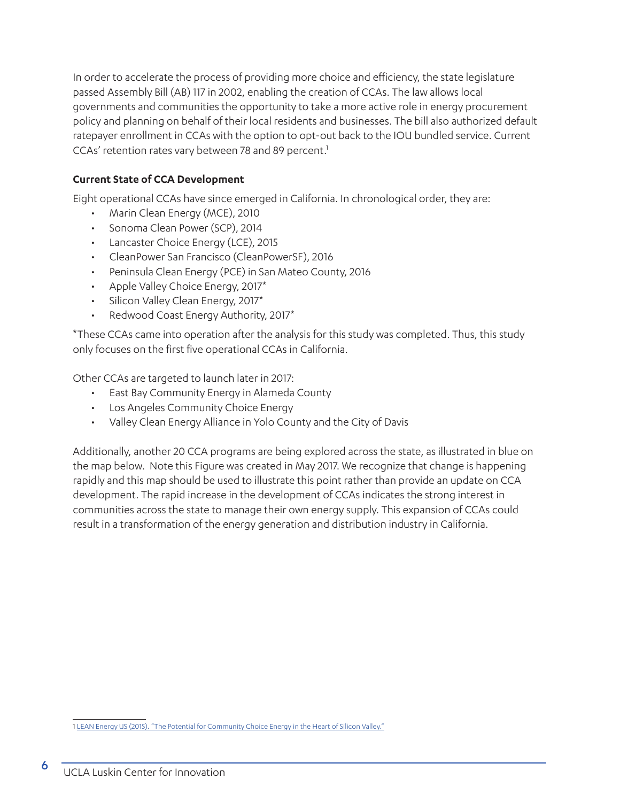In order to accelerate the process of providing more choice and efficiency, the state legislature passed Assembly Bill (AB) 117 in 2002, enabling the creation of CCAs. The law allows local governments and communities the opportunity to take a more active role in energy procurement policy and planning on behalf of their local residents and businesses. The bill also authorized default ratepayer enrollment in CCAs with the option to opt-out back to the IOU bundled service. Current CCAs' retention rates vary between 78 and 89 percent.<sup>1</sup>

#### **Current State of CCA Development**

Eight operational CCAs have since emerged in California. In chronological order, they are:

- Marin Clean Energy (MCE), 2010
- Sonoma Clean Power (SCP), 2014
- Lancaster Choice Energy (LCE), 2015
- CleanPower San Francisco (CleanPowerSF), 2016
- Peninsula Clean Energy (PCE) in San Mateo County, 2016
- Apple Valley Choice Energy, 2017\*
- Silicon Valley Clean Energy, 2017\*
- Redwood Coast Energy Authority, 2017\*

\*These CCAs came into operation after the analysis for this study was completed. Thus, this study only focuses on the first five operational CCAs in California.

Other CCAs are targeted to launch later in 2017:

- East Bay Community Energy in Alameda County
- Los Angeles Community Choice Energy
- Valley Clean Energy Alliance in Yolo County and the City of Davis

Additionally, another 20 CCA programs are being explored across the state, as illustrated in blue on the map below. Note this Figure was created in May 2017. We recognize that change is happening rapidly and this map should be used to illustrate this point rather than provide an update on CCA development. The rapid increase in the development of CCAs indicates the strong interest in communities across the state to manage their own energy supply. This expansion of CCAs could result in a transformation of the energy generation and distribution industry in California.

<sup>1</sup> [LEAN Energy US \(2015\). "The Potential for Community Choice Energy in the Heart of Silicon Valley."](https://www.mcecleanenergy.org/wp-content/uploads/2016/01/SVCCEPAssessmentReport-LEANEnergyMay2015.pdf)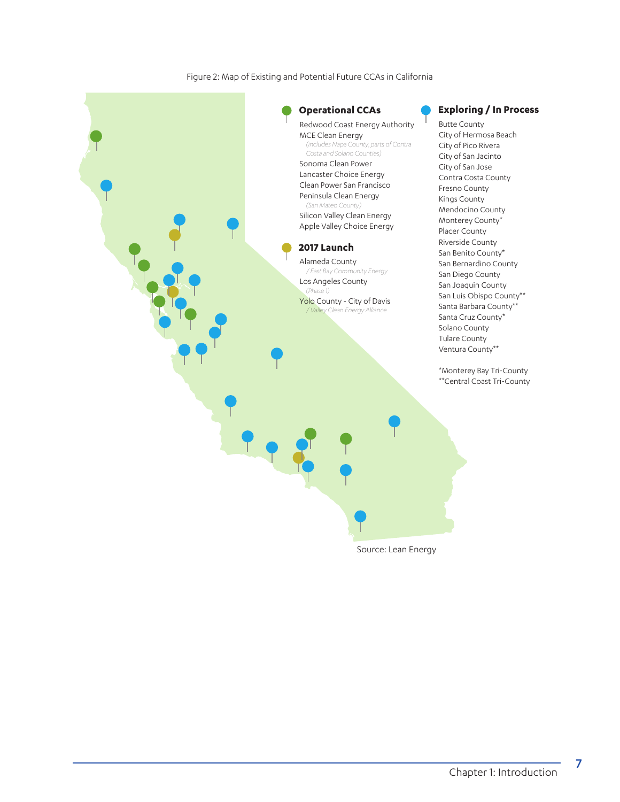Figure 2: Map of Existing and Potential Future CCAs in California

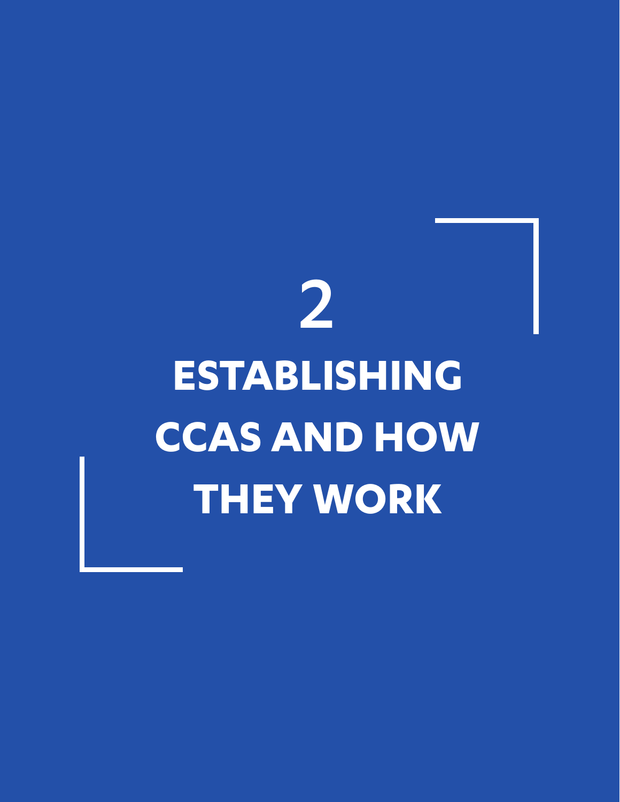## 2 **ESTABLISHING CCAS AND HOW THEY WORK**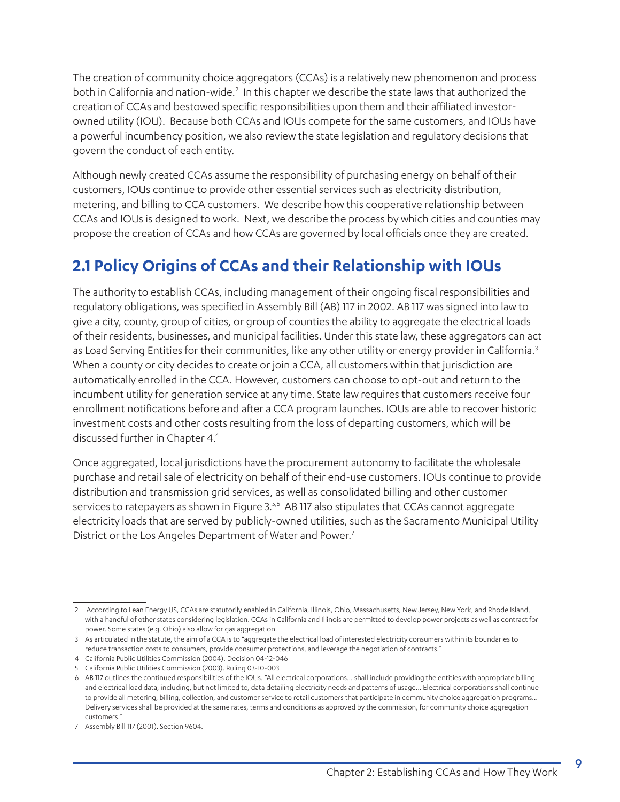The creation of community choice aggregators (CCAs) is a relatively new phenomenon and process both in California and nation-wide.<sup>2</sup> In this chapter we describe the state laws that authorized the creation of CCAs and bestowed specific responsibilities upon them and their affiliated investorowned utility (IOU). Because both CCAs and IOUs compete for the same customers, and IOUs have a powerful incumbency position, we also review the state legislation and regulatory decisions that govern the conduct of each entity.

Although newly created CCAs assume the responsibility of purchasing energy on behalf of their customers, IOUs continue to provide other essential services such as electricity distribution, metering, and billing to CCA customers. We describe how this cooperative relationship between CCAs and IOUs is designed to work. Next, we describe the process by which cities and counties may propose the creation of CCAs and how CCAs are governed by local officials once they are created.

## **2.1 Policy Origins of CCAs and their Relationship with IOUs**

The authority to establish CCAs, including management of their ongoing fiscal responsibilities and regulatory obligations, was specified in Assembly Bill (AB) 117 in 2002. AB 117 was signed into law to give a city, county, group of cities, or group of counties the ability to aggregate the electrical loads of their residents, businesses, and municipal facilities. Under this state law, these aggregators can act as Load Serving Entities for their communities, like any other utility or energy provider in California.<sup>3</sup> When a county or city decides to create or join a CCA, all customers within that jurisdiction are automatically enrolled in the CCA. However, customers can choose to opt-out and return to the incumbent utility for generation service at any time. State law requires that customers receive four enrollment notifications before and after a CCA program launches. IOUs are able to recover historic investment costs and other costs resulting from the loss of departing customers, which will be discussed further in Chapter 4.4

Once aggregated, local jurisdictions have the procurement autonomy to facilitate the wholesale purchase and retail sale of electricity on behalf of their end-use customers. IOUs continue to provide distribution and transmission grid services, as well as consolidated billing and other customer services to ratepayers as shown in Figure 3.<sup>5,6</sup> AB 117 also stipulates that CCAs cannot aggregate electricity loads that are served by publicly-owned utilities, such as the Sacramento Municipal Utility District or the Los Angeles Department of Water and Power.<sup>7</sup>

<sup>2</sup> According to Lean Energy US, CCAs are statutorily enabled in California, Illinois, Ohio, Massachusetts, New Jersey, New York, and Rhode Island, with a handful of other states considering legislation. CCAs in California and Illinois are permitted to develop power projects as well as contract for power. Some states (e.g. Ohio) also allow for gas aggregation.

<sup>3</sup> As articulated in the statute, the aim of a CCA is to "aggregate the electrical load of interested electricity consumers within its boundaries to reduce transaction costs to consumers, provide consumer protections, and leverage the negotiation of contracts."

<sup>4</sup> California Public Utilities Commission (2004). Decision 04-12-046

<sup>5</sup> California Public Utilities Commission (2003). Ruling 03-10-003

<sup>6</sup> AB 117 outlines the continued responsibilities of the IOUs. "All electrical corporations… shall include providing the entities with appropriate billing and electrical load data, including, but not limited to, data detailing electricity needs and patterns of usage... Electrical corporations shall continue to provide all metering, billing, collection, and customer service to retail customers that participate in community choice aggregation programs… Delivery services shall be provided at the same rates, terms and conditions as approved by the commission, for community choice aggregation customers."

<sup>7</sup> Assembly Bill 117 (2001). Section 9604.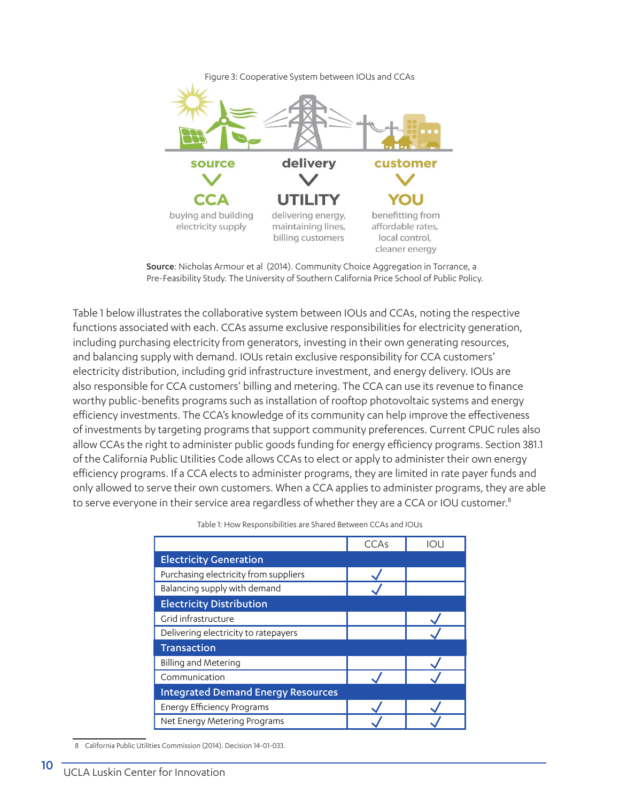

Source: Nicholas Armour et al (2014). Community Choice Aggregation in Torrance, a Pre-Feasibility Study. The University of Southern California Price School of Public Policy.

Table 1 below illustrates the collaborative system between IOUs and CCAs, noting the respective functions associated with each. CCAs assume exclusive responsibilities for electricity generation, including purchasing electricity from generators, investing in their own generating resources, and balancing supply with demand. IOUs retain exclusive responsibility for CCA customers' electricity distribution, including grid infrastructure investment, and energy delivery. IOUs are also responsible for CCA customers' billing and metering. The CCA can use its revenue to finance worthy public-benefits programs such as installation of rooftop photovoltaic systems and energy efficiency investments. The CCA's knowledge of its community can help improve the effectiveness of investments by targeting programs that support community preferences. Current CPUC rules also allow CCAs the right to administer public goods funding for energy efficiency programs. Section 381.1 of the California Public Utilities Code allows CCAs to elect or apply to administer their own energy efficiency programs. If a CCA elects to administer programs, they are limited in rate payer funds and only allowed to serve their own customers. When a CCA applies to administer programs, they are able to serve everyone in their service area regardless of whether they are a CCA or IOU customer.<sup>8</sup>

|                                           | CCAs | IOU |
|-------------------------------------------|------|-----|
| <b>Electricity Generation</b>             |      |     |
| Purchasing electricity from suppliers     |      |     |
| Balancing supply with demand              |      |     |
| <b>Electricity Distribution</b>           |      |     |
| Grid infrastructure                       |      |     |
| Delivering electricity to ratepayers      |      |     |
| <b>Transaction</b>                        |      |     |
| Billing and Metering                      |      |     |
| Communication                             |      |     |
| <b>Integrated Demand Energy Resources</b> |      |     |
| <b>Energy Efficiency Programs</b>         |      |     |
| Net Energy Metering Programs              |      |     |

Table 1: How Responsibilities are Shared Between CCAs and IOUs

<sup>8</sup> California Public Utilities Commission (2014). Decision 14-01-033.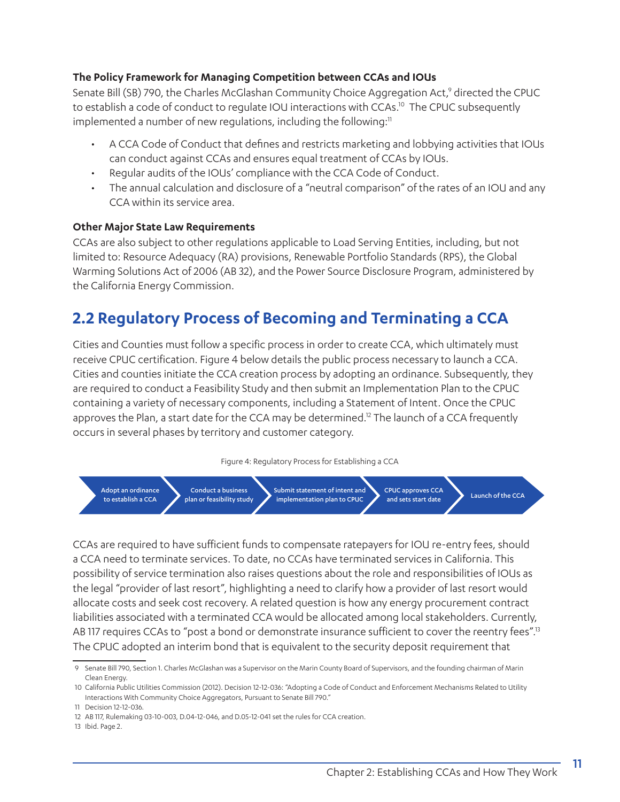#### **The Policy Framework for Managing Competition between CCAs and IOUs**

Senate Bill (SB) 790, the Charles McGlashan Community Choice Aggregation Act,<sup>9</sup> directed the CPUC to establish a code of conduct to regulate IOU interactions with CCAs.<sup>10</sup> The CPUC subsequently implemented a number of new regulations, including the following:<sup>11</sup>

- A CCA Code of Conduct that defines and restricts marketing and lobbying activities that IOUs can conduct against CCAs and ensures equal treatment of CCAs by IOUs.
- Regular audits of the IOUs' compliance with the CCA Code of Conduct.
- The annual calculation and disclosure of a "neutral comparison" of the rates of an IOU and any CCA within its service area.

#### **Other Major State Law Requirements**

CCAs are also subject to other regulations applicable to Load Serving Entities, including, but not limited to: Resource Adequacy (RA) provisions, Renewable Portfolio Standards (RPS), the Global Warming Solutions Act of 2006 (AB 32), and the Power Source Disclosure Program, administered by the California Energy Commission.

## **2.2 Regulatory Process of Becoming and Terminating a CCA**

Cities and Counties must follow a specific process in order to create CCA, which ultimately must receive CPUC certification. Figure 4 below details the public process necessary to launch a CCA. Cities and counties initiate the CCA creation process by adopting an ordinance. Subsequently, they are required to conduct a Feasibility Study and then submit an Implementation Plan to the CPUC containing a variety of necessary components, including a Statement of Intent. Once the CPUC approves the Plan, a start date for the CCA may be determined.<sup>12</sup> The launch of a CCA frequently occurs in several phases by territory and customer category.

#### Figure 4: Regulatory Process for Establishing a CCA



CCAs are required to have sufficient funds to compensate ratepayers for IOU re-entry fees, should a CCA need to terminate services. To date, no CCAs have terminated services in California. This possibility of service termination also raises questions about the role and responsibilities of IOUs as the legal "provider of last resort", highlighting a need to clarify how a provider of last resort would allocate costs and seek cost recovery. A related question is how any energy procurement contract liabilities associated with a terminated CCA would be allocated among local stakeholders. Currently, AB 117 requires CCAs to "post a bond or demonstrate insurance sufficient to cover the reentry fees".<sup>13</sup> The CPUC adopted an interim bond that is equivalent to the security deposit requirement that

<sup>9</sup> Senate Bill 790, Section 1. Charles McGlashan was a Supervisor on the Marin County Board of Supervisors, and the founding chairman of Marin Clean Energy.

<sup>10</sup> California Public Utilities Commission (2012). Decision 12-12-036: "Adopting a Code of Conduct and Enforcement Mechanisms Related to Utility Interactions With Community Choice Aggregators, Pursuant to Senate Bill 790."

<sup>11</sup> Decision 12-12-036.

<sup>12</sup> AB 117, Rulemaking 03-10-003, D.04-12-046, and D.05-12-041 set the rules for CCA creation.

<sup>13</sup> Ibid. Page 2.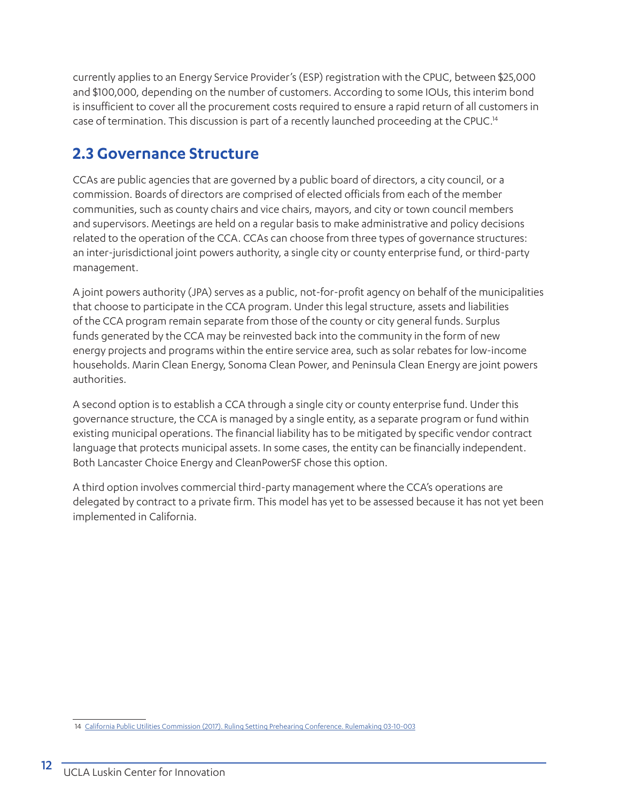currently applies to an Energy Service Provider's (ESP) registration with the CPUC, between \$25,000 and \$100,000, depending on the number of customers. According to some IOUs, this interim bond is insufficient to cover all the procurement costs required to ensure a rapid return of all customers in case of termination. This discussion is part of a recently launched proceeding at the CPUC.<sup>14</sup>

## **2.3 Governance Structure**

CCAs are public agencies that are governed by a public board of directors, a city council, or a commission. Boards of directors are comprised of elected officials from each of the member communities, such as county chairs and vice chairs, mayors, and city or town council members and supervisors. Meetings are held on a regular basis to make administrative and policy decisions related to the operation of the CCA. CCAs can choose from three types of governance structures: an inter-jurisdictional joint powers authority, a single city or county enterprise fund, or third-party management.

A joint powers authority (JPA) serves as a public, not-for-profit agency on behalf of the municipalities that choose to participate in the CCA program. Under this legal structure, assets and liabilities of the CCA program remain separate from those of the county or city general funds. Surplus funds generated by the CCA may be reinvested back into the community in the form of new energy projects and programs within the entire service area, such as solar rebates for low-income households. Marin Clean Energy, Sonoma Clean Power, and Peninsula Clean Energy are joint powers authorities.

A second option is to establish a CCA through a single city or county enterprise fund. Under this governance structure, the CCA is managed by a single entity, as a separate program or fund within existing municipal operations. The financial liability has to be mitigated by specific vendor contract language that protects municipal assets. In some cases, the entity can be financially independent. Both Lancaster Choice Energy and CleanPowerSF chose this option.

A third option involves commercial third-party management where the CCA's operations are delegated by contract to a private firm. This model has yet to be assessed because it has not yet been implemented in California.

<sup>14</sup> [California Public Utilities Commission \(2017\). Ruling Setting Prehearing Conference. Rulemaking 03-10-003](http://docs.cpuc.ca.gov/PublishedDocs/Efile/G000/M173/K118/173118975.PDF)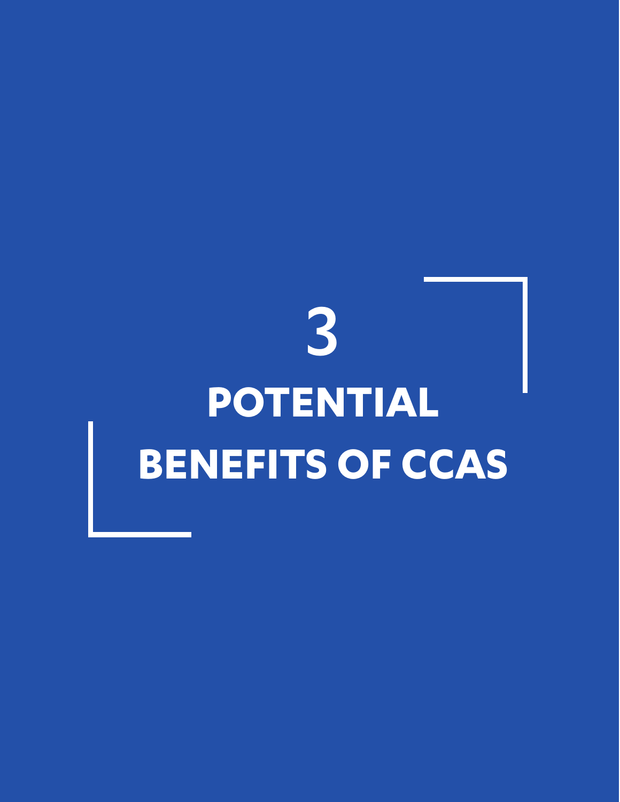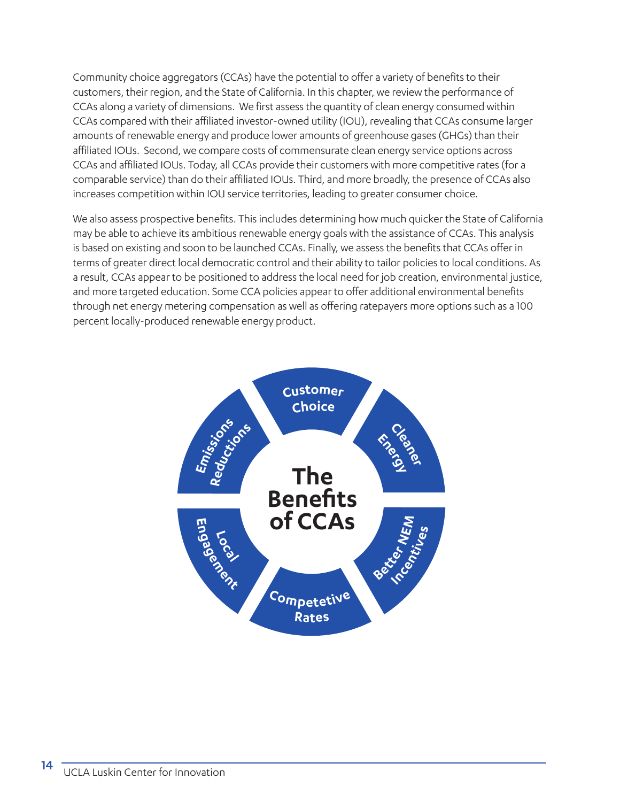Community choice aggregators (CCAs) have the potential to offer a variety of benefits to their customers, their region, and the State of California. In this chapter, we review the performance of CCAs along a variety of dimensions. We first assess the quantity of clean energy consumed within CCAs compared with their affiliated investor-owned utility (IOU), revealing that CCAs consume larger amounts of renewable energy and produce lower amounts of greenhouse gases (GHGs) than their affiliated IOUs. Second, we compare costs of commensurate clean energy service options across CCAs and affiliated IOUs. Today, all CCAs provide their customers with more competitive rates (for a comparable service) than do their affiliated IOUs. Third, and more broadly, the presence of CCAs also increases competition within IOU service territories, leading to greater consumer choice.

We also assess prospective benefits. This includes determining how much quicker the State of California may be able to achieve its ambitious renewable energy goals with the assistance of CCAs. This analysis is based on existing and soon to be launched CCAs. Finally, we assess the benefits that CCAs offer in terms of greater direct local democratic control and their ability to tailor policies to local conditions. As a result, CCAs appear to be positioned to address the local need for job creation, environmental justice, and more targeted education. Some CCA policies appear to offer additional environmental benefits through net energy metering compensation as well as offering ratepayers more options such as a 100 percent locally-produced renewable energy product.

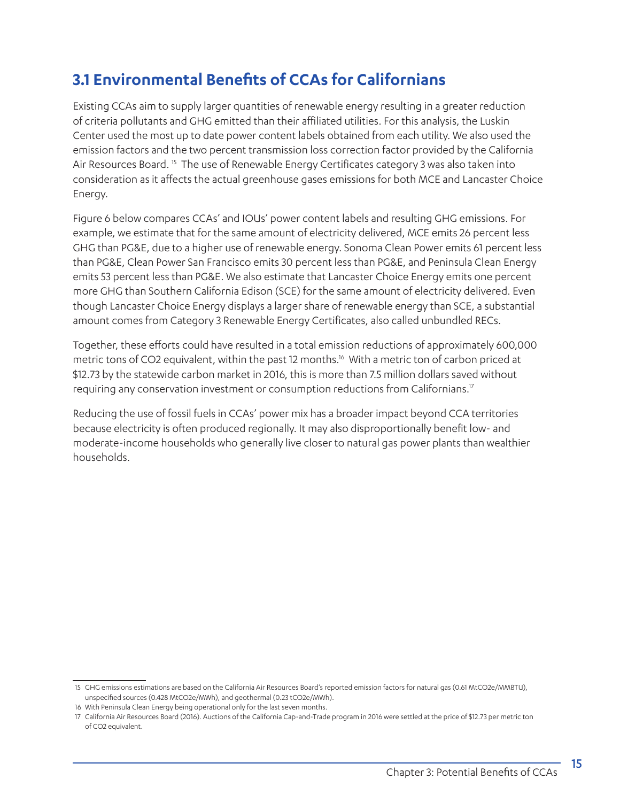## **3.1 Environmental Benefits of CCAs for Californians**

Existing CCAs aim to supply larger quantities of renewable energy resulting in a greater reduction of criteria pollutants and GHG emitted than their affiliated utilities. For this analysis, the Luskin Center used the most up to date power content labels obtained from each utility. We also used the emission factors and the two percent transmission loss correction factor provided by the California Air Resources Board.<sup>15</sup> The use of Renewable Energy Certificates category 3 was also taken into consideration as it affects the actual greenhouse gases emissions for both MCE and Lancaster Choice Energy.

Figure 6 below compares CCAs' and IOUs' power content labels and resulting GHG emissions. For example, we estimate that for the same amount of electricity delivered, MCE emits 26 percent less GHG than PG&E, due to a higher use of renewable energy. Sonoma Clean Power emits 61 percent less than PG&E, Clean Power San Francisco emits 30 percent less than PG&E, and Peninsula Clean Energy emits 53 percent less than PG&E. We also estimate that Lancaster Choice Energy emits one percent more GHG than Southern California Edison (SCE) for the same amount of electricity delivered. Even though Lancaster Choice Energy displays a larger share of renewable energy than SCE, a substantial amount comes from Category 3 Renewable Energy Certificates, also called unbundled RECs.

Together, these efforts could have resulted in a total emission reductions of approximately 600,000 metric tons of CO2 equivalent, within the past 12 months.<sup>16</sup> With a metric ton of carbon priced at \$12.73 by the statewide carbon market in 2016, this is more than 7.5 million dollars saved without requiring any conservation investment or consumption reductions from Californians.17

Reducing the use of fossil fuels in CCAs' power mix has a broader impact beyond CCA territories because electricity is often produced regionally. It may also disproportionally benefit low- and moderate-income households who generally live closer to natural gas power plants than wealthier households.

<sup>15</sup> GHG emissions estimations are based on the California Air Resources Board's reported emission factors for natural gas (0.61 MtCO2e/MMBTU), unspecified sources (0.428 MtCO2e/MWh), and geothermal (0.23 tCO2e/MWh).

<sup>16</sup> With Peninsula Clean Energy being operational only for the last seven months.

<sup>17</sup> California Air Resources Board (2016). Auctions of the California Cap-and-Trade program in 2016 were settled at the price of \$12.73 per metric ton of CO2 equivalent.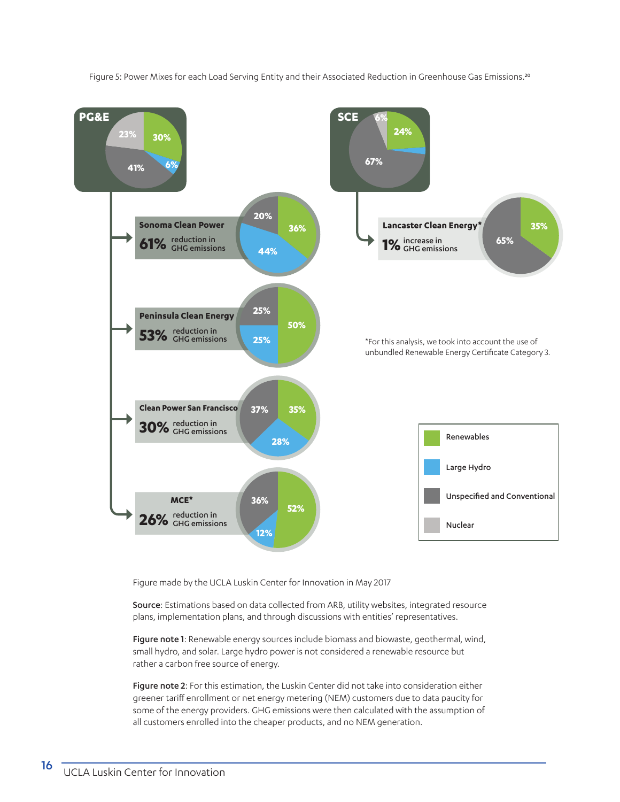Figure 5: Power Mixes for each Load Serving Entity and their Associated Reduction in Greenhouse Gas Emissions.<sup>20</sup>



Figure made by the UCLA Luskin Center for Innovation in May 2017

Source: Estimations based on data collected from ARB, utility websites, integrated resource plans, implementation plans, and through discussions with entities' representatives.

Figure note 1: Renewable energy sources include biomass and biowaste, geothermal, wind, small hydro, and solar. Large hydro power is not considered a renewable resource but rather a carbon free source of energy.

Figure note 2: For this estimation, the Luskin Center did not take into consideration either greener tariff enrollment or net energy metering (NEM) customers due to data paucity for some of the energy providers. GHG emissions were then calculated with the assumption of all customers enrolled into the cheaper products, and no NEM generation.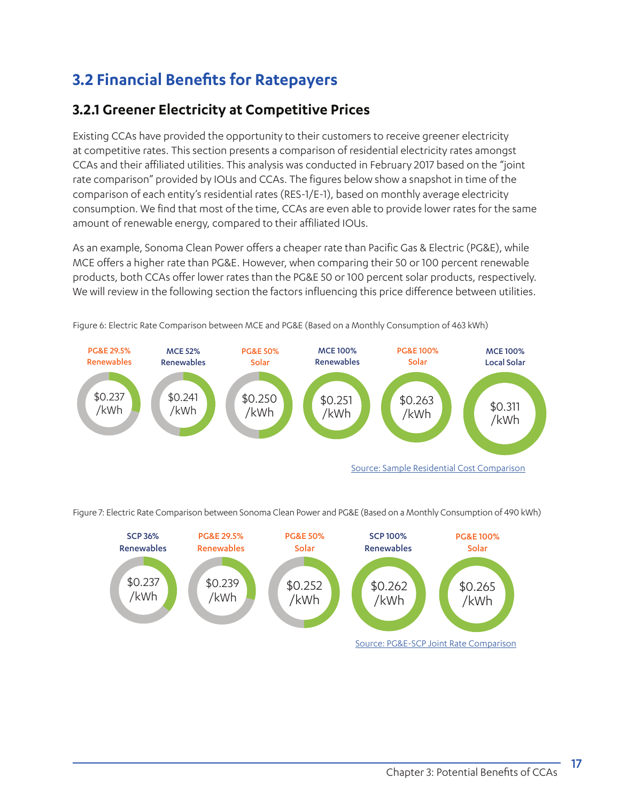## **3.2 Financial Benefits for Ratepayers**

## **3.2.1 Greener Electricity at Competitive Prices**

Existing CCAs have provided the opportunity to their customers to receive greener electricity at competitive rates. This section presents a comparison of residential electricity rates amongst CCAs and their affiliated utilities. This analysis was conducted in February 2017 based on the "joint rate comparison" provided by IOUs and CCAs. The figures below show a snapshot in time of the comparison of each entity's residential rates (RES-1/E-1), based on monthly average electricity consumption. We find that most of the time, CCAs are even able to provide lower rates for the same amount of renewable energy, compared to their affiliated IOUs.

As an example, Sonoma Clean Power offers a cheaper rate than Pacific Gas & Electric (PG&E), while MCE offers a higher rate than PG&E. However, when comparing their 50 or 100 percent renewable products, both CCAs offer lower rates than the PG&E 50 or 100 percent solar products, respectively. We will review in the following section the factors influencing this price difference between utilities.



Figure 6: Electric Rate Comparison between MCE and PG&E (Based on a Monthly Consumption of 463 kWh)

Figure 7: Electric Rate Comparison between Sonoma Clean Power and PG&E (Based on a Monthly Consumption of 490 kWh)

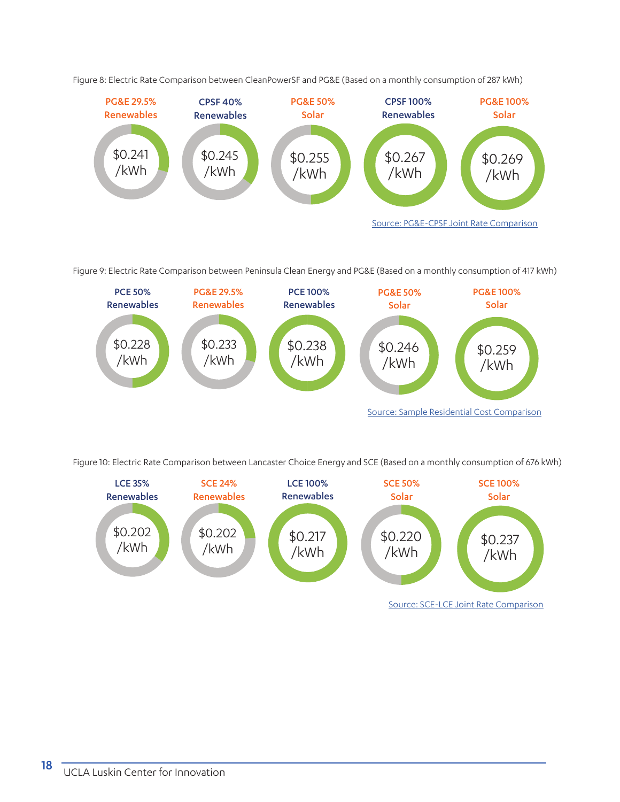

Figure 8: Electric Rate Comparison between CleanPowerSF and PG&E (Based on a monthly consumption of 287 kWh)

Figure 9: Electric Rate Comparison between Peninsula Clean Energy and PG&E (Based on a monthly consumption of 417 kWh)



Source: [Sample Residential Cost Comparison](http://www.peninsulacleanenergy.com/wp-content/uploads/2016/07/PCE_rate-Jan-1-2017.pdf)

Figure 10: Electric Rate Comparison between Lancaster Choice Energy and SCE (Based on a monthly consumption of 676 kWh)

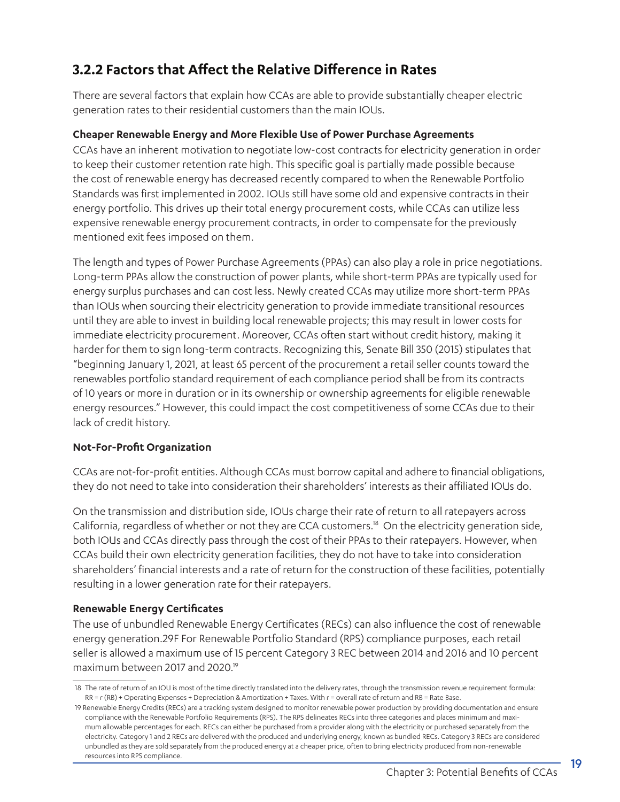## **3.2.2 Factors that Affect the Relative Difference in Rates**

There are several factors that explain how CCAs are able to provide substantially cheaper electric generation rates to their residential customers than the main IOUs.

#### **Cheaper Renewable Energy and More Flexible Use of Power Purchase Agreements**

CCAs have an inherent motivation to negotiate low-cost contracts for electricity generation in order to keep their customer retention rate high. This specific goal is partially made possible because the cost of renewable energy has decreased recently compared to when the Renewable Portfolio Standards was first implemented in 2002. IOUs still have some old and expensive contracts in their energy portfolio. This drives up their total energy procurement costs, while CCAs can utilize less expensive renewable energy procurement contracts, in order to compensate for the previously mentioned exit fees imposed on them.

The length and types of Power Purchase Agreements (PPAs) can also play a role in price negotiations. Long-term PPAs allow the construction of power plants, while short-term PPAs are typically used for energy surplus purchases and can cost less. Newly created CCAs may utilize more short-term PPAs than IOUs when sourcing their electricity generation to provide immediate transitional resources until they are able to invest in building local renewable projects; this may result in lower costs for immediate electricity procurement. Moreover, CCAs often start without credit history, making it harder for them to sign long-term contracts. Recognizing this, Senate Bill 350 (2015) stipulates that "beginning January 1, 2021, at least 65 percent of the procurement a retail seller counts toward the renewables portfolio standard requirement of each compliance period shall be from its contracts of 10 years or more in duration or in its ownership or ownership agreements for eligible renewable energy resources." However, this could impact the cost competitiveness of some CCAs due to their lack of credit history.

#### **Not-For-Profit Organization**

CCAs are not-for-profit entities. Although CCAs must borrow capital and adhere to financial obligations, they do not need to take into consideration their shareholders' interests as their affiliated IOUs do.

On the transmission and distribution side, IOUs charge their rate of return to all ratepayers across California, regardless of whether or not they are CCA customers.18 On the electricity generation side, both IOUs and CCAs directly pass through the cost of their PPAs to their ratepayers. However, when CCAs build their own electricity generation facilities, they do not have to take into consideration shareholders' financial interests and a rate of return for the construction of these facilities, potentially resulting in a lower generation rate for their ratepayers.

#### **Renewable Energy Certificates**

The use of unbundled Renewable Energy Certificates (RECs) can also influence the cost of renewable energy generation.29F For Renewable Portfolio Standard (RPS) compliance purposes, each retail seller is allowed a maximum use of 15 percent Category 3 REC between 2014 and 2016 and 10 percent maximum between 2017 and 2020.19

<sup>18</sup> The rate of return of an IOU is most of the time directly translated into the delivery rates, through the transmission revenue requirement formula: RR = r (RB) + Operating Expenses + Depreciation & Amortization + Taxes. With r = overall rate of return and RB = Rate Base.

<sup>19</sup> Renewable Energy Credits (RECs) are a tracking system designed to monitor renewable power production by providing documentation and ensure compliance with the Renewable Portfolio Requirements (RPS). The RPS delineates RECs into three categories and places minimum and maximum allowable percentages for each. RECs can either be purchased from a provider along with the electricity or purchased separately from the electricity. Category 1 and 2 RECs are delivered with the produced and underlying energy, known as bundled RECs. Category 3 RECs are considered unbundled as they are sold separately from the produced energy at a cheaper price, often to bring electricity produced from non-renewable resources into RPS compliance.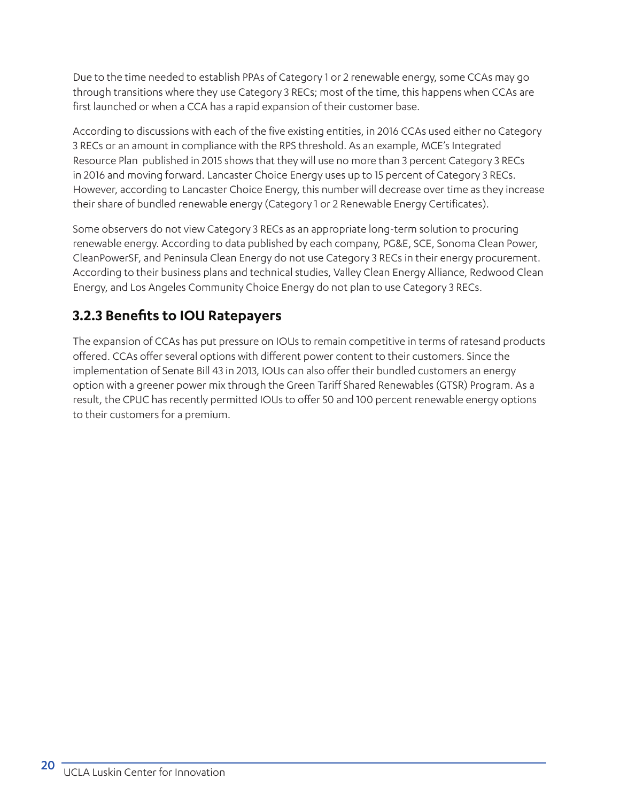Due to the time needed to establish PPAs of Category 1 or 2 renewable energy, some CCAs may go through transitions where they use Category 3 RECs; most of the time, this happens when CCAs are first launched or when a CCA has a rapid expansion of their customer base.

According to discussions with each of the five existing entities, in 2016 CCAs used either no Category 3 RECs or an amount in compliance with the RPS threshold. As an example, MCE's Integrated Resource Plan published in 2015 shows that they will use no more than 3 percent Category 3 RECs in 2016 and moving forward. Lancaster Choice Energy uses up to 15 percent of Category 3 RECs. However, according to Lancaster Choice Energy, this number will decrease over time as they increase their share of bundled renewable energy (Category 1 or 2 Renewable Energy Certificates).

Some observers do not view Category 3 RECs as an appropriate long-term solution to procuring renewable energy. According to data published by each company, PG&E, SCE, Sonoma Clean Power, CleanPowerSF, and Peninsula Clean Energy do not use Category 3 RECs in their energy procurement. According to their business plans and technical studies, Valley Clean Energy Alliance, Redwood Clean Energy, and Los Angeles Community Choice Energy do not plan to use Category 3 RECs.

## **3.2.3 Benefits to IOU Ratepayers**

The expansion of CCAs has put pressure on IOUs to remain competitive in terms of ratesand products offered. CCAs offer several options with different power content to their customers. Since the implementation of Senate Bill 43 in 2013, IOUs can also offer their bundled customers an energy option with a greener power mix through the Green Tariff Shared Renewables (GTSR) Program. As a result, the CPUC has recently permitted IOUs to offer 50 and 100 percent renewable energy options to their customers for a premium.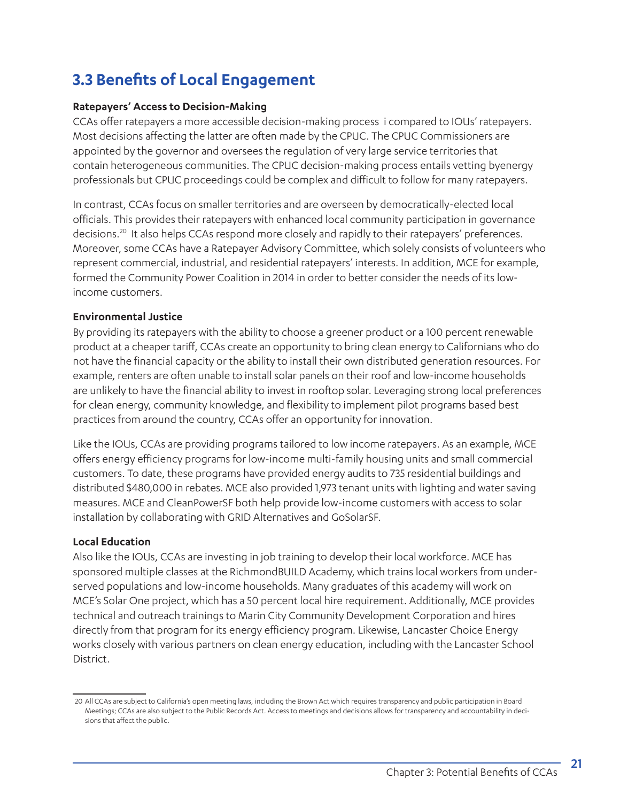## **3.3 Benefits of Local Engagement**

#### **Ratepayers' Access to Decision-Making**

CCAs offer ratepayers a more accessible decision-making process i compared to IOUs' ratepayers. Most decisions affecting the latter are often made by the CPUC. The CPUC Commissioners are appointed by the governor and oversees the regulation of very large service territories that contain heterogeneous communities. The CPUC decision-making process entails vetting byenergy professionals but CPUC proceedings could be complex and difficult to follow for many ratepayers.

In contrast, CCAs focus on smaller territories and are overseen by democratically-elected local officials. This provides their ratepayers with enhanced local community participation in governance decisions.<sup>20</sup> It also helps CCAs respond more closely and rapidly to their ratepayers' preferences. Moreover, some CCAs have a Ratepayer Advisory Committee, which solely consists of volunteers who represent commercial, industrial, and residential ratepayers' interests. In addition, MCE for example, formed the Community Power Coalition in 2014 in order to better consider the needs of its lowincome customers.

#### **Environmental Justice**

By providing its ratepayers with the ability to choose a greener product or a 100 percent renewable product at a cheaper tariff, CCAs create an opportunity to bring clean energy to Californians who do not have the financial capacity or the ability to install their own distributed generation resources. For example, renters are often unable to install solar panels on their roof and low-income households are unlikely to have the financial ability to invest in rooftop solar. Leveraging strong local preferences for clean energy, community knowledge, and flexibility to implement pilot programs based best practices from around the country, CCAs offer an opportunity for innovation.

Like the IOUs, CCAs are providing programs tailored to low income ratepayers. As an example, MCE offers energy efficiency programs for low-income multi-family housing units and small commercial customers. To date, these programs have provided energy audits to 735 residential buildings and distributed \$480,000 in rebates. MCE also provided 1,973 tenant units with lighting and water saving measures. MCE and CleanPowerSF both help provide low-income customers with access to solar installation by collaborating with GRID Alternatives and GoSolarSF.

#### **Local Education**

Also like the IOUs, CCAs are investing in job training to develop their local workforce. MCE has sponsored multiple classes at the RichmondBUILD Academy, which trains local workers from underserved populations and low-income households. Many graduates of this academy will work on MCE's Solar One project, which has a 50 percent local hire requirement. Additionally, MCE provides technical and outreach trainings to Marin City Community Development Corporation and hires directly from that program for its energy efficiency program. Likewise, Lancaster Choice Energy works closely with various partners on clean energy education, including with the Lancaster School District.

<sup>20</sup> All CCAs are subject to California's open meeting laws, including the Brown Act which requires transparency and public participation in Board Meetings; CCAs are also subject to the Public Records Act. Access to meetings and decisions allows for transparency and accountability in decisions that affect the public.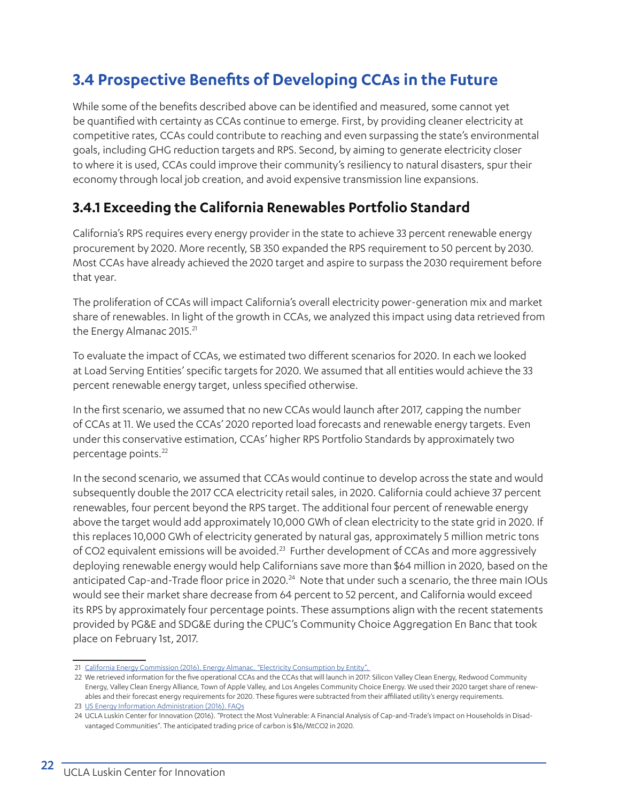## **3.4 Prospective Benefits of Developing CCAs in the Future**

While some of the benefits described above can be identified and measured, some cannot yet be quantified with certainty as CCAs continue to emerge. First, by providing cleaner electricity at competitive rates, CCAs could contribute to reaching and even surpassing the state's environmental goals, including GHG reduction targets and RPS. Second, by aiming to generate electricity closer to where it is used, CCAs could improve their community's resiliency to natural disasters, spur their economy through local job creation, and avoid expensive transmission line expansions.

## **3.4.1 Exceeding the California Renewables Portfolio Standard**

California's RPS requires every energy provider in the state to achieve 33 percent renewable energy procurement by 2020. More recently, SB 350 expanded the RPS requirement to 50 percent by 2030. Most CCAs have already achieved the 2020 target and aspire to surpass the 2030 requirement before that year.

The proliferation of CCAs will impact California's overall electricity power-generation mix and market share of renewables. In light of the growth in CCAs, we analyzed this impact using data retrieved from the Energy Almanac 2015.<sup>21</sup>

To evaluate the impact of CCAs, we estimated two different scenarios for 2020. In each we looked at Load Serving Entities' specific targets for 2020. We assumed that all entities would achieve the 33 percent renewable energy target, unless specified otherwise.

In the first scenario, we assumed that no new CCAs would launch after 2017, capping the number of CCAs at 11. We used the CCAs' 2020 reported load forecasts and renewable energy targets. Even under this conservative estimation, CCAs' higher RPS Portfolio Standards by approximately two percentage points.22

In the second scenario, we assumed that CCAs would continue to develop across the state and would subsequently double the 2017 CCA electricity retail sales, in 2020. California could achieve 37 percent renewables, four percent beyond the RPS target. The additional four percent of renewable energy above the target would add approximately 10,000 GWh of clean electricity to the state grid in 2020. If this replaces 10,000 GWh of electricity generated by natural gas, approximately 5 million metric tons of CO2 equivalent emissions will be avoided.<sup>23</sup> Further development of CCAs and more aggressively deploying renewable energy would help Californians save more than \$64 million in 2020, based on the anticipated Cap-and-Trade floor price in 2020.<sup>24</sup> Note that under such a scenario, the three main IOUs would see their market share decrease from 64 percent to 52 percent, and California would exceed its RPS by approximately four percentage points. These assumptions align with the recent statements provided by PG&E and SDG&E during the CPUC's Community Choice Aggregation En Banc that took place on February 1st, 2017.

<sup>21</sup> California Energy Commission (2016). Energy Almanac. "Electricity Consumption by Entity".

<sup>22</sup> We retrieved information for the five operational CCAs and the CCAs that will launch in 2017: Silicon Valley Clean Energy, Redwood Community Energy, Valley Clean Energy Alliance, Town of Apple Valley, and Los Angeles Community Choice Energy. We used their 2020 target share of renewables and their forecast energy requirements for 2020. These figures were subtracted from their affiliated utility's energy requirements.

<sup>23</sup> [US Energy Information Administration \(2016\). FAQs](https://www.eia.gov/tools/faqs/faq.cfm?id=74&t=11)

<sup>24</sup> UCLA Luskin Center for Innovation (2016). "Protect the Most Vulnerable: A Financial Analysis of Cap-and-Trade's Impact on Households in Disadvantaged Communities". The anticipated trading price of carbon is \$16/MtCO2 in 2020.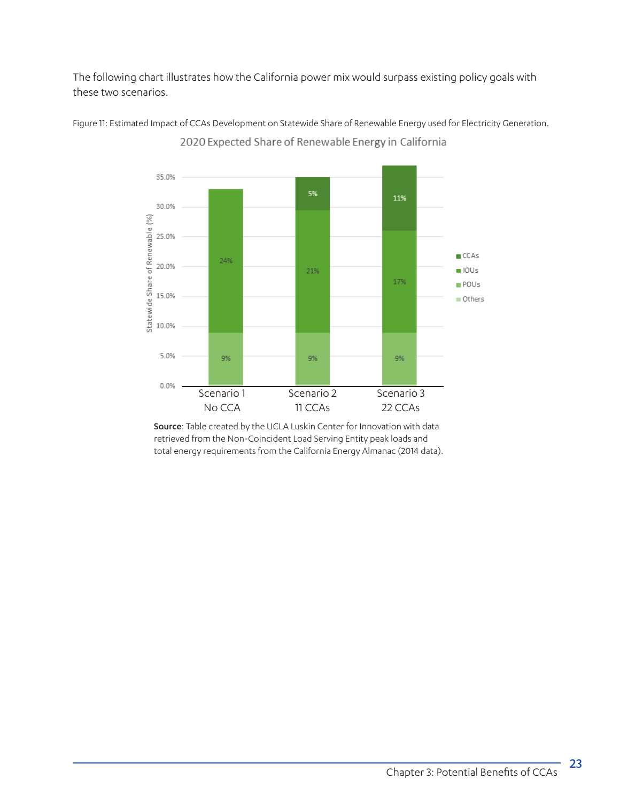The following chart illustrates how the California power mix would surpass existing policy goals with these two scenarios.



Figure 11: Estimated Impact of CCAs Development on Statewide Share of Renewable Energy used for Electricity Generation. 2020 Expected Share of Renewable Energy in California

> Source: Table created by the UCLA Luskin Center for Innovation with data retrieved from the Non-Coincident Load Serving Entity peak loads and total energy requirements from the California Energy Almanac (2014 data).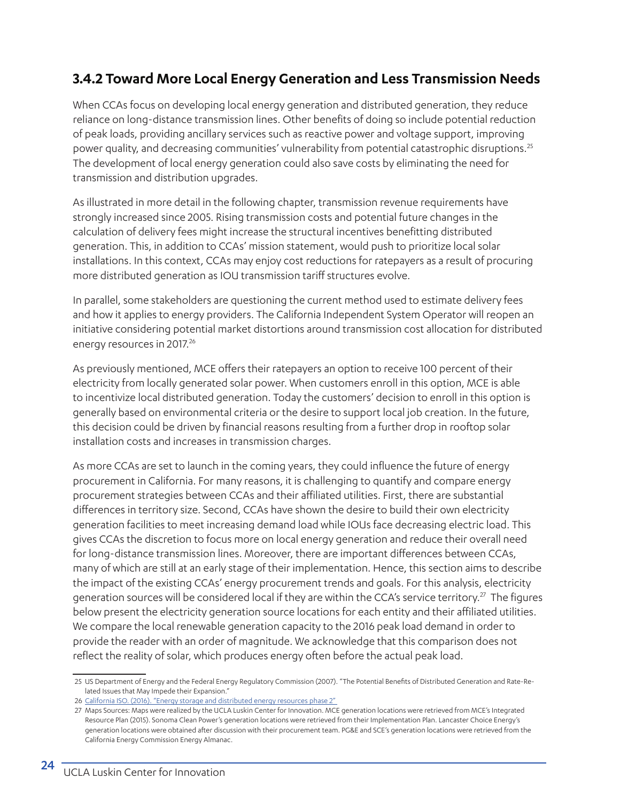## **3.4.2 Toward More Local Energy Generation and Less Transmission Needs**

When CCAs focus on developing local energy generation and distributed generation, they reduce reliance on long-distance transmission lines. Other benefits of doing so include potential reduction of peak loads, providing ancillary services such as reactive power and voltage support, improving power quality, and decreasing communities' vulnerability from potential catastrophic disruptions.25 The development of local energy generation could also save costs by eliminating the need for transmission and distribution upgrades.

As illustrated in more detail in the following chapter, transmission revenue requirements have strongly increased since 2005. Rising transmission costs and potential future changes in the calculation of delivery fees might increase the structural incentives benefitting distributed generation. This, in addition to CCAs' mission statement, would push to prioritize local solar installations. In this context, CCAs may enjoy cost reductions for ratepayers as a result of procuring more distributed generation as IOU transmission tariff structures evolve.

In parallel, some stakeholders are questioning the current method used to estimate delivery fees and how it applies to energy providers. The California Independent System Operator will reopen an initiative considering potential market distortions around transmission cost allocation for distributed energy resources in 2017.<sup>26</sup>

As previously mentioned, MCE offers their ratepayers an option to receive 100 percent of their electricity from locally generated solar power. When customers enroll in this option, MCE is able to incentivize local distributed generation. Today the customers' decision to enroll in this option is generally based on environmental criteria or the desire to support local job creation. In the future, this decision could be driven by financial reasons resulting from a further drop in rooftop solar installation costs and increases in transmission charges.

As more CCAs are set to launch in the coming years, they could influence the future of energy procurement in California. For many reasons, it is challenging to quantify and compare energy procurement strategies between CCAs and their affiliated utilities. First, there are substantial differences in territory size. Second, CCAs have shown the desire to build their own electricity generation facilities to meet increasing demand load while IOUs face decreasing electric load. This gives CCAs the discretion to focus more on local energy generation and reduce their overall need for long-distance transmission lines. Moreover, there are important differences between CCAs, many of which are still at an early stage of their implementation. Hence, this section aims to describe the impact of the existing CCAs' energy procurement trends and goals. For this analysis, electricity generation sources will be considered local if they are within the CCA's service territory.<sup>27</sup> The figures below present the electricity generation source locations for each entity and their affiliated utilities. We compare the local renewable generation capacity to the 2016 peak load demand in order to provide the reader with an order of magnitude. We acknowledge that this comparison does not reflect the reality of solar, which produces energy often before the actual peak load.

<sup>25</sup> US Department of Energy and the Federal Energy Regulatory Commission (2007). "The Potential Benefits of Distributed Generation and Rate-Related Issues that May Impede their Expansion."

<sup>26</sup> California ISO. (2016). "Energy storage and distributed energy resources phase 2"

<sup>27</sup> Maps Sources: Maps were realized by the UCLA Luskin Center for Innovation. MCE generation locations were retrieved from MCE's Integrated Resource Plan (2015). Sonoma Clean Power's generation locations were retrieved from their Implementation Plan. Lancaster Choice Energy's generation locations were obtained after discussion with their procurement team. PG&E and SCE's generation locations were retrieved from the California Energy Commission Energy Almanac.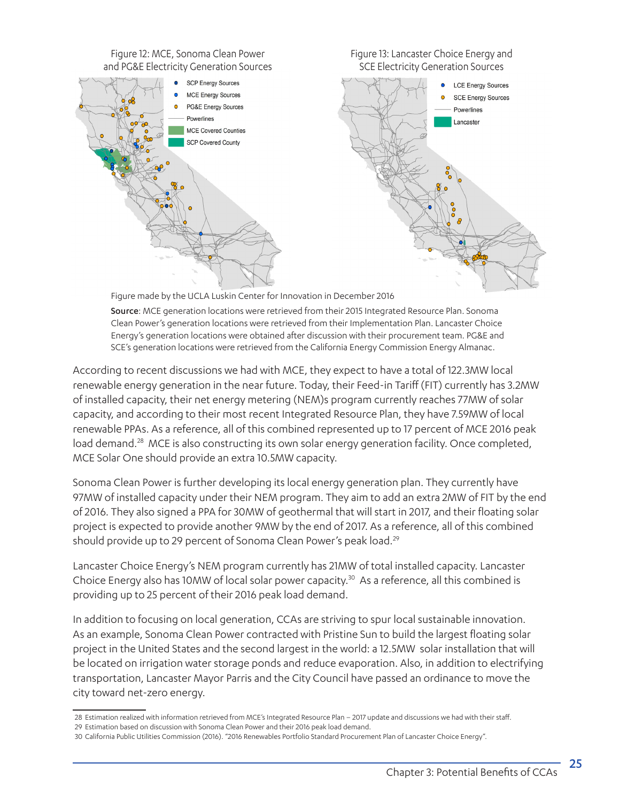

Figure made by the UCLA Luskin Center for Innovation in December 2016

Source: MCE generation locations were retrieved from their 2015 Integrated Resource Plan. Sonoma Clean Power's generation locations were retrieved from their Implementation Plan. Lancaster Choice Energy's generation locations were obtained after discussion with their procurement team. PG&E and SCE's generation locations were retrieved from the California Energy Commission Energy Almanac.

According to recent discussions we had with MCE, they expect to have a total of 122.3MW local renewable energy generation in the near future. Today, their Feed-in Tariff (FIT) currently has 3.2MW of installed capacity, their net energy metering (NEM)s program currently reaches 77MW of solar capacity, and according to their most recent Integrated Resource Plan, they have 7.59MW of local renewable PPAs. As a reference, all of this combined represented up to 17 percent of MCE 2016 peak load demand.<sup>28</sup> MCE is also constructing its own solar energy generation facility. Once completed, MCE Solar One should provide an extra 10.5MW capacity.

Sonoma Clean Power is further developing its local energy generation plan. They currently have 97MW of installed capacity under their NEM program. They aim to add an extra 2MW of FIT by the end of 2016. They also signed a PPA for 30MW of geothermal that will start in 2017, and their floating solar project is expected to provide another 9MW by the end of 2017. As a reference, all of this combined should provide up to 29 percent of Sonoma Clean Power's peak load.<sup>29</sup>

Lancaster Choice Energy's NEM program currently has 21MW of total installed capacity. Lancaster Choice Energy also has 10MW of local solar power capacity.<sup>30</sup> As a reference, all this combined is providing up to 25 percent of their 2016 peak load demand.

In addition to focusing on local generation, CCAs are striving to spur local sustainable innovation. As an example, Sonoma Clean Power contracted with Pristine Sun to build the largest floating solar project in the United States and the second largest in the world: a 12.5MW solar installation that will be located on irrigation water storage ponds and reduce evaporation. Also, in addition to electrifying transportation, Lancaster Mayor Parris and the City Council have passed an ordinance to move the city toward net-zero energy.

<sup>28</sup> Estimation realized with information retrieved from MCE's Integrated Resource Plan – 2017 update and discussions we had with their staff.

<sup>29</sup> Estimation based on discussion with Sonoma Clean Power and their 2016 peak load demand.

<sup>30</sup> California Public Utilities Commission (2016). "2016 Renewables Portfolio Standard Procurement Plan of Lancaster Choice Energy".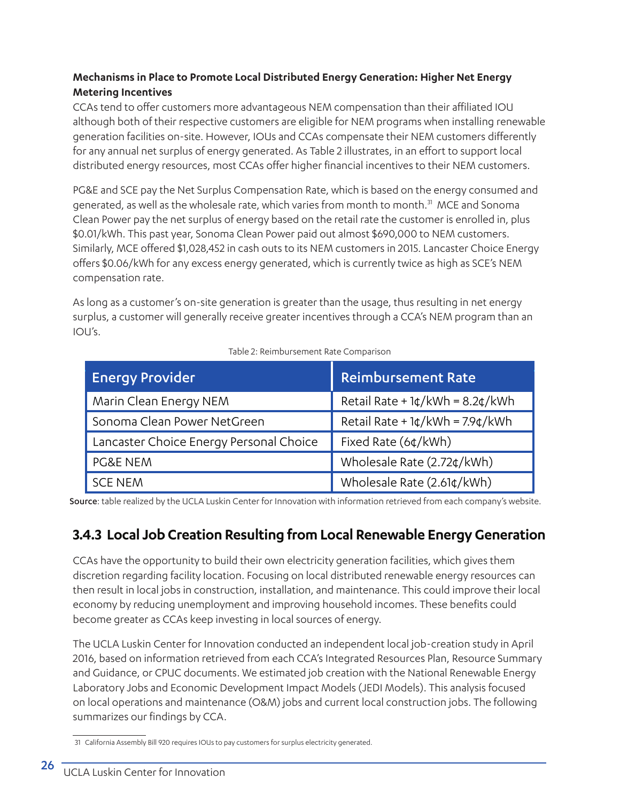#### **Mechanisms in Place to Promote Local Distributed Energy Generation: Higher Net Energy Metering Incentives**

CCAs tend to offer customers more advantageous NEM compensation than their affiliated IOU although both of their respective customers are eligible for NEM programs when installing renewable generation facilities on-site. However, IOUs and CCAs compensate their NEM customers differently for any annual net surplus of energy generated. As Table 2 illustrates, in an effort to support local distributed energy resources, most CCAs offer higher financial incentives to their NEM customers.

PG&E and SCE pay the Net Surplus Compensation Rate, which is based on the energy consumed and generated, as well as the wholesale rate, which varies from month to month.31 MCE and Sonoma Clean Power pay the net surplus of energy based on the retail rate the customer is enrolled in, plus \$0.01/kWh. This past year, Sonoma Clean Power paid out almost \$690,000 to NEM customers. Similarly, MCE offered \$1,028,452 in cash outs to its NEM customers in 2015. Lancaster Choice Energy offers \$0.06/kWh for any excess energy generated, which is currently twice as high as SCE's NEM compensation rate.

As long as a customer's on-site generation is greater than the usage, thus resulting in net energy surplus, a customer will generally receive greater incentives through a CCA's NEM program than an IOU's.

| <b>Energy Provider</b>                  | <b>Reimbursement Rate</b>         |
|-----------------------------------------|-----------------------------------|
| Marin Clean Energy NEM                  | Retail Rate + $1¢/kWh = 8.2¢/kWh$ |
| Sonoma Clean Power NetGreen             | Retail Rate + $1¢/kWh = 7.9¢/kWh$ |
| Lancaster Choice Energy Personal Choice | Fixed Rate (6¢/kWh)               |
| <b>PG&amp;E NEM</b>                     | Wholesale Rate (2.72¢/kWh)        |
| <b>SCE NEM</b>                          | Wholesale Rate (2.61¢/kWh)        |

#### Table 2: Reimbursement Rate Comparison

Source: table realized by the UCLA Luskin Center for Innovation with information retrieved from each company's website.

## **3.4.3 Local Job Creation Resulting from Local Renewable Energy Generation**

CCAs have the opportunity to build their own electricity generation facilities, which gives them discretion regarding facility location. Focusing on local distributed renewable energy resources can then result in local jobs in construction, installation, and maintenance. This could improve their local economy by reducing unemployment and improving household incomes. These benefits could become greater as CCAs keep investing in local sources of energy.

The UCLA Luskin Center for Innovation conducted an independent local job-creation study in April 2016, based on information retrieved from each CCA's Integrated Resources Plan, Resource Summary and Guidance, or CPUC documents. We estimated job creation with the National Renewable Energy Laboratory Jobs and Economic Development Impact Models (JEDI Models). This analysis focused on local operations and maintenance (O&M) jobs and current local construction jobs. The following summarizes our findings by CCA.

<sup>31</sup> California Assembly Bill 920 requires IOUs to pay customers for surplus electricity generated.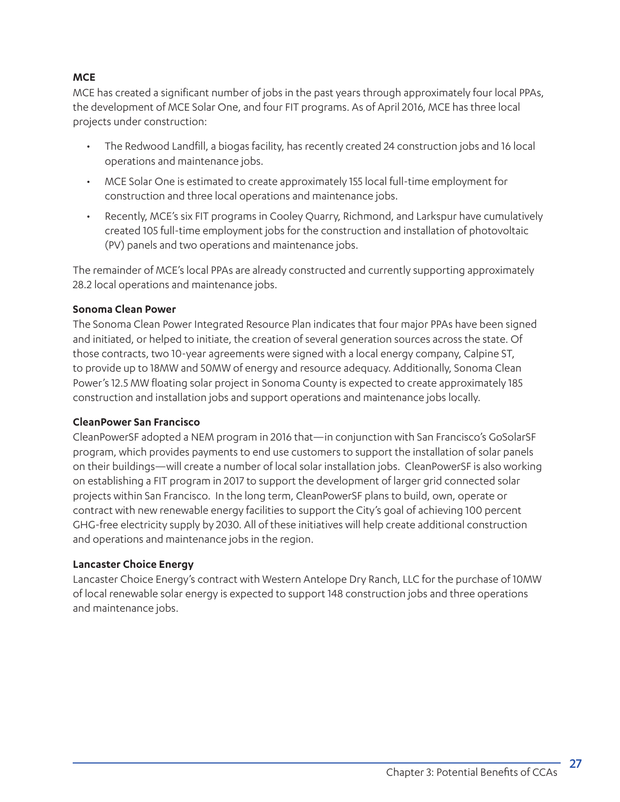#### **MCE**

MCE has created a significant number of jobs in the past years through approximately four local PPAs, the development of MCE Solar One, and four FIT programs. As of April 2016, MCE has three local projects under construction:

- The Redwood Landfill, a biogas facility, has recently created 24 construction jobs and 16 local operations and maintenance jobs.
- MCE Solar One is estimated to create approximately 155 local full-time employment for construction and three local operations and maintenance jobs.
- Recently, MCE's six FIT programs in Cooley Quarry, Richmond, and Larkspur have cumulatively created 105 full-time employment jobs for the construction and installation of photovoltaic (PV) panels and two operations and maintenance jobs.

The remainder of MCE's local PPAs are already constructed and currently supporting approximately 28.2 local operations and maintenance jobs.

#### **Sonoma Clean Power**

The Sonoma Clean Power Integrated Resource Plan indicates that four major PPAs have been signed and initiated, or helped to initiate, the creation of several generation sources across the state. Of those contracts, two 10-year agreements were signed with a local energy company, Calpine ST, to provide up to 18MW and 50MW of energy and resource adequacy. Additionally, Sonoma Clean Power's 12.5 MW floating solar project in Sonoma County is expected to create approximately 185 construction and installation jobs and support operations and maintenance jobs locally.

#### **CleanPower San Francisco**

CleanPowerSF adopted a NEM program in 2016 that—in conjunction with San Francisco's GoSolarSF program, which provides payments to end use customers to support the installation of solar panels on their buildings—will create a number of local solar installation jobs. CleanPowerSF is also working on establishing a FIT program in 2017 to support the development of larger grid connected solar projects within San Francisco. In the long term, CleanPowerSF plans to build, own, operate or contract with new renewable energy facilities to support the City's goal of achieving 100 percent GHG-free electricity supply by 2030. All of these initiatives will help create additional construction and operations and maintenance jobs in the region.

#### **Lancaster Choice Energy**

Lancaster Choice Energy's contract with Western Antelope Dry Ranch, LLC for the purchase of 10MW of local renewable solar energy is expected to support 148 construction jobs and three operations and maintenance jobs.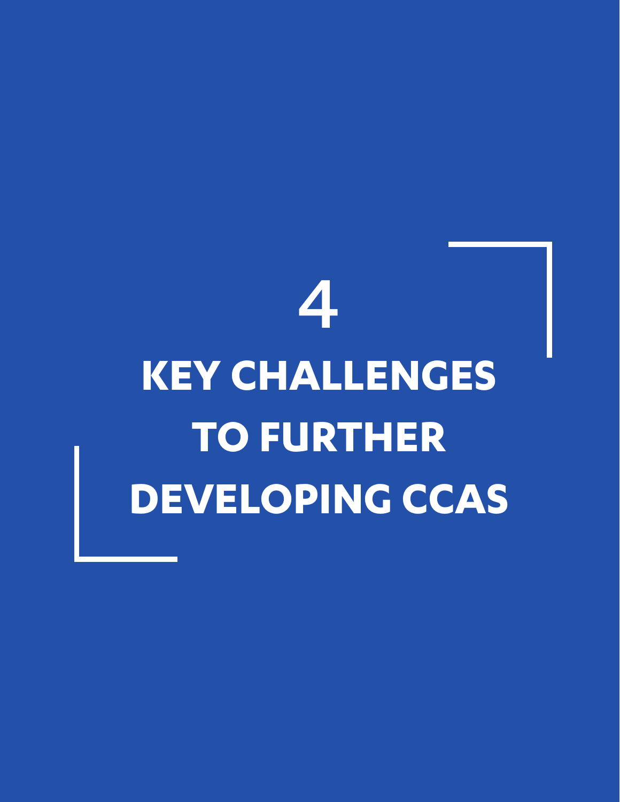## 4 **KEY CHALLENGES TO FURTHER DEVELOPING CCAS**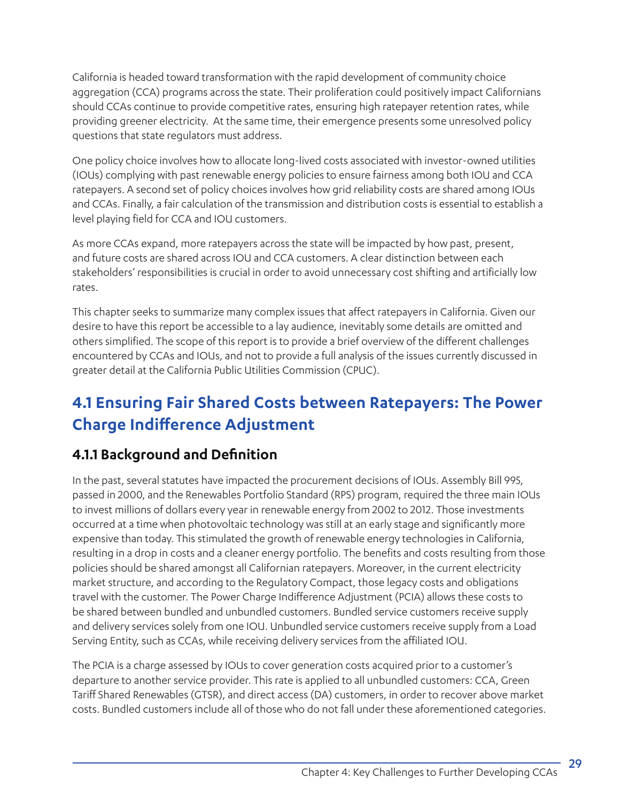California is headed toward transformation with the rapid development of community choice aggregation (CCA) programs across the state. Their proliferation could positively impact Californians should CCAs continue to provide competitive rates, ensuring high ratepayer retention rates, while providing greener electricity. At the same time, their emergence presents some unresolved policy questions that state regulators must address.

One policy choice involves how to allocate long-lived costs associated with investor-owned utilities (IOUs) complying with past renewable energy policies to ensure fairness among both IOU and CCA ratepayers. A second set of policy choices involves how grid reliability costs are shared among IOUs and CCAs. Finally, a fair calculation of the transmission and distribution costs is essential to establish a level playing field for CCA and IOU customers.

As more CCAs expand, more ratepayers across the state will be impacted by how past, present, and future costs are shared across IOU and CCA customers. A clear distinction between each stakeholders' responsibilities is crucial in order to avoid unnecessary cost shifting and artificially low rates.

This chapter seeks to summarize many complex issues that affect ratepayers in California. Given our desire to have this report be accessible to a lay audience, inevitably some details are omitted and others simplified. The scope of this report is to provide a brief overview of the different challenges encountered by CCAs and IOUs, and not to provide a full analysis of the issues currently discussed in greater detail at the California Public Utilities Commission (CPUC).

## **4.1 Ensuring Fair Shared Costs between Ratepayers: The Power Charge Indifference Adjustment**

## **4.1.1 Background and Definition**

In the past, several statutes have impacted the procurement decisions of IOUs. Assembly Bill 995, passed in 2000, and the Renewables Portfolio Standard (RPS) program, required the three main IOUs to invest millions of dollars every year in renewable energy from 2002 to 2012. Those investments occurred at a time when photovoltaic technology was still at an early stage and significantly more expensive than today. This stimulated the growth of renewable energy technologies in California, resulting in a drop in costs and a cleaner energy portfolio. The benefits and costs resulting from those policies should be shared amongst all Californian ratepayers. Moreover, in the current electricity market structure, and according to the Regulatory Compact, those legacy costs and obligations travel with the customer. The Power Charge Indifference Adjustment (PCIA) allows these costs to be shared between bundled and unbundled customers. Bundled service customers receive supply and delivery services solely from one IOU. Unbundled service customers receive supply from a Load Serving Entity, such as CCAs, while receiving delivery services from the affiliated IOU.

The PCIA is a charge assessed by IOUs to cover generation costs acquired prior to a customer's departure to another service provider. This rate is applied to all unbundled customers: CCA, Green Tariff Shared Renewables (GTSR), and direct access (DA) customers, in order to recover above market costs. Bundled customers include all of those who do not fall under these aforementioned categories.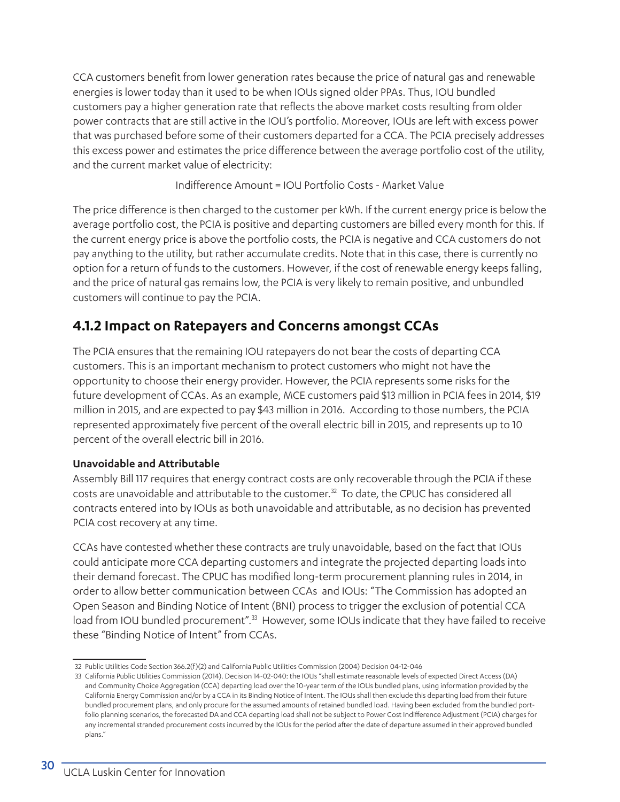CCA customers benefit from lower generation rates because the price of natural gas and renewable energies is lower today than it used to be when IOUs signed older PPAs. Thus, IOU bundled customers pay a higher generation rate that reflects the above market costs resulting from older power contracts that are still active in the IOU's portfolio. Moreover, IOUs are left with excess power that was purchased before some of their customers departed for a CCA. The PCIA precisely addresses this excess power and estimates the price difference between the average portfolio cost of the utility, and the current market value of electricity:

Indifference Amount = IOU Portfolio Costs - Market Value

The price difference is then charged to the customer per kWh. If the current energy price is below the average portfolio cost, the PCIA is positive and departing customers are billed every month for this. If the current energy price is above the portfolio costs, the PCIA is negative and CCA customers do not pay anything to the utility, but rather accumulate credits. Note that in this case, there is currently no option for a return of funds to the customers. However, if the cost of renewable energy keeps falling, and the price of natural gas remains low, the PCIA is very likely to remain positive, and unbundled customers will continue to pay the PCIA.

### **4.1.2 Impact on Ratepayers and Concerns amongst CCAs**

The PCIA ensures that the remaining IOU ratepayers do not bear the costs of departing CCA customers. This is an important mechanism to protect customers who might not have the opportunity to choose their energy provider. However, the PCIA represents some risks for the future development of CCAs. As an example, MCE customers paid \$13 million in PCIA fees in 2014, \$19 million in 2015, and are expected to pay \$43 million in 2016. According to those numbers, the PCIA represented approximately five percent of the overall electric bill in 2015, and represents up to 10 percent of the overall electric bill in 2016.

#### **Unavoidable and Attributable**

Assembly Bill 117 requires that energy contract costs are only recoverable through the PCIA if these costs are unavoidable and attributable to the customer.32 To date, the CPUC has considered all contracts entered into by IOUs as both unavoidable and attributable, as no decision has prevented PCIA cost recovery at any time.

CCAs have contested whether these contracts are truly unavoidable, based on the fact that IOUs could anticipate more CCA departing customers and integrate the projected departing loads into their demand forecast. The CPUC has modified long-term procurement planning rules in 2014, in order to allow better communication between CCAs and IOUs: "The Commission has adopted an Open Season and Binding Notice of Intent (BNI) process to trigger the exclusion of potential CCA load from IOU bundled procurement".<sup>33</sup> However, some IOUs indicate that they have failed to receive these "Binding Notice of Intent" from CCAs.

<sup>32</sup> Public Utilities Code Section 366.2(f)(2) and California Public Utilities Commission (2004) Decision 04-12-046

<sup>33</sup> California Public Utilities Commission (2014). Decision 14-02-040: the IOUs "shall estimate reasonable levels of expected Direct Access (DA) and Community Choice Aggregation (CCA) departing load over the 10-year term of the IOUs bundled plans, using information provided by the California Energy Commission and/or by a CCA in its Binding Notice of Intent. The IOUs shall then exclude this departing load from their future bundled procurement plans, and only procure for the assumed amounts of retained bundled load. Having been excluded from the bundled portfolio planning scenarios, the forecasted DA and CCA departing load shall not be subject to Power Cost Indifference Adjustment (PCIA) charges for any incremental stranded procurement costs incurred by the IOUs for the period after the date of departure assumed in their approved bundled plans."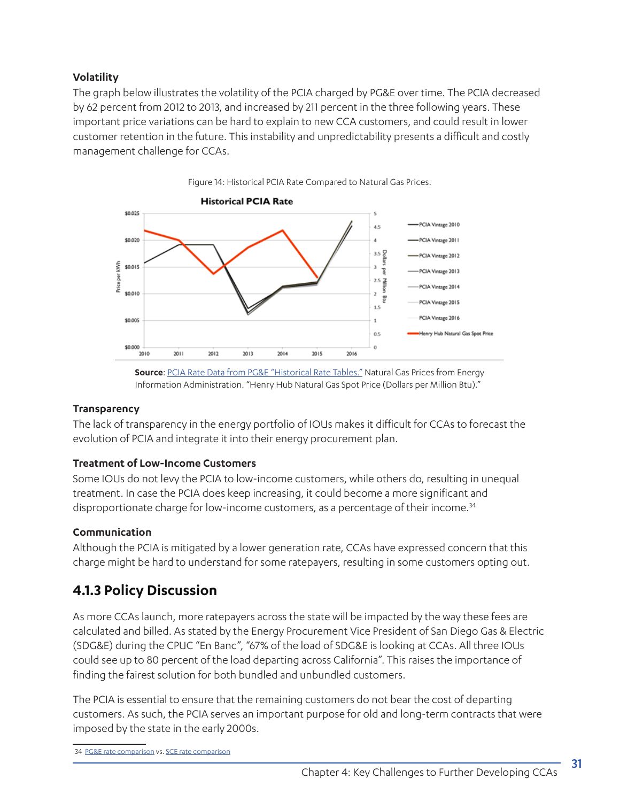#### **Volatility**

The graph below illustrates the volatility of the PCIA charged by PG&E over time. The PCIA decreased by 62 percent from 2012 to 2013, and increased by 211 percent in the three following years. These important price variations can be hard to explain to new CCA customers, and could result in lower customer retention in the future. This instability and unpredictability presents a difficult and costly management challenge for CCAs.

Figure 14: Historical PCIA Rate Compared to Natural Gas Prices.



**Source**: [PCIA Rate Data from PG&E "Historical Rate Tables."](http://www.pge.com/web/resources/images/myhome/saveenergymoney/solar/2800px-solarchoice-historicratestable-T2.png.) Natural Gas Prices from Energy Information Administration. "Henry Hub Natural Gas Spot Price (Dollars per Million Btu)."

#### **Transparency**

The lack of transparency in the energy portfolio of IOUs makes it difficult for CCAs to forecast the evolution of PCIA and integrate it into their energy procurement plan.

#### **Treatment of Low-Income Customers**

Some IOUs do not levy the PCIA to low-income customers, while others do, resulting in unequal treatment. In case the PCIA does keep increasing, it could become a more significant and disproportionate charge for low-income customers, as a percentage of their income.<sup>34</sup>

#### **Communication**

Although the PCIA is mitigated by a lower generation rate, CCAs have expressed concern that this charge might be hard to understand for some ratepayers, resulting in some customers opting out.

## **4.1.3 Policy Discussion**

As more CCAs launch, more ratepayers across the state will be impacted by the way these fees are calculated and billed. As stated by the Energy Procurement Vice President of San Diego Gas & Electric (SDG&E) during the CPUC "En Banc", "67% of the load of SDG&E is looking at CCAs. All three IOUs could see up to 80 percent of the load departing across California". This raises the importance of finding the fairest solution for both bundled and unbundled customers.

The PCIA is essential to ensure that the remaining customers do not bear the cost of departing customers. As such, the PCIA serves an important purpose for old and long-term contracts that were imposed by the state in the early 2000s.

<sup>34</sup> [PG&E rate comparison](https://www.mcecleanenergy.org/wp-content/uploads/2015/11/JointCostComparison.pdf) vs. [SCE rate comparison](http://www.lancasterchoiceenergy.com/wp-content/uploads/2016/11/SCE-LCE-FULL-Joint-Rate-Comparison-with-LCE-LOGO-and-MAPPING-Oct-1-2016-rate-factorsv.1kw-.pdf)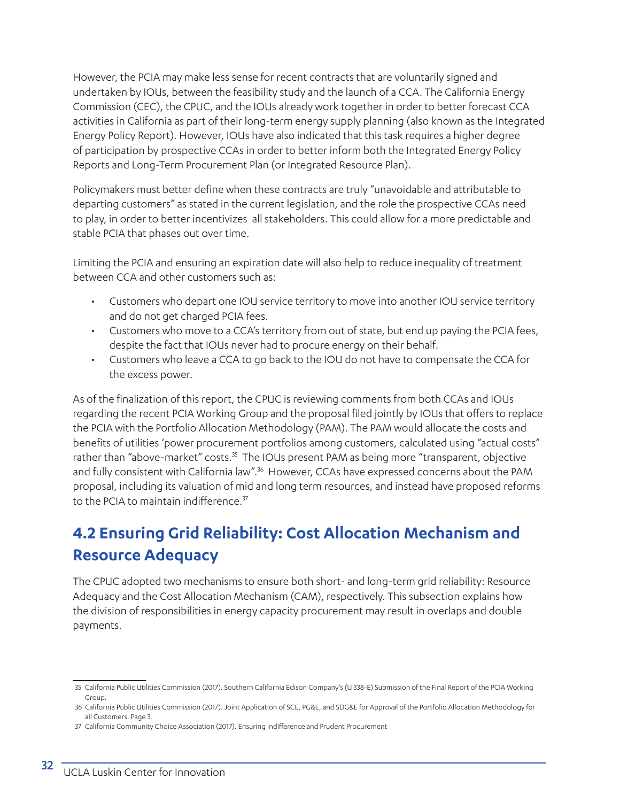However, the PCIA may make less sense for recent contracts that are voluntarily signed and undertaken by IOUs, between the feasibility study and the launch of a CCA. The California Energy Commission (CEC), the CPUC, and the IOUs already work together in order to better forecast CCA activities in California as part of their long-term energy supply planning (also known as the Integrated Energy Policy Report). However, IOUs have also indicated that this task requires a higher degree of participation by prospective CCAs in order to better inform both the Integrated Energy Policy Reports and Long-Term Procurement Plan (or Integrated Resource Plan).

Policymakers must better define when these contracts are truly "unavoidable and attributable to departing customers" as stated in the current legislation, and the role the prospective CCAs need to play, in order to better incentivizes all stakeholders. This could allow for a more predictable and stable PCIA that phases out over time.

Limiting the PCIA and ensuring an expiration date will also help to reduce inequality of treatment between CCA and other customers such as:

- Customers who depart one IOU service territory to move into another IOU service territory and do not get charged PCIA fees.
- Customers who move to a CCA's territory from out of state, but end up paying the PCIA fees, despite the fact that IOUs never had to procure energy on their behalf.
- Customers who leave a CCA to go back to the IOU do not have to compensate the CCA for the excess power.

As of the finalization of this report, the CPUC is reviewing comments from both CCAs and IOUs regarding the recent PCIA Working Group and the proposal filed jointly by IOUs that offers to replace the PCIA with the Portfolio Allocation Methodology (PAM). The PAM would allocate the costs and benefits of utilities 'power procurement portfolios among customers, calculated using "actual costs" rather than "above-market" costs.<sup>35</sup> The IOUs present PAM as being more "transparent, objective and fully consistent with California law".<sup>36</sup> However, CCAs have expressed concerns about the PAM proposal, including its valuation of mid and long term resources, and instead have proposed reforms to the PCIA to maintain indifference.<sup>37</sup>

## **4.2 Ensuring Grid Reliability: Cost Allocation Mechanism and Resource Adequacy**

The CPUC adopted two mechanisms to ensure both short- and long-term grid reliability: Resource Adequacy and the Cost Allocation Mechanism (CAM), respectively. This subsection explains how the division of responsibilities in energy capacity procurement may result in overlaps and double payments.

37 California Community Choice Association (2017). Ensuring Indifference and Prudent Procurement

<sup>35</sup> California Public Utilities Commission (2017). Southern California Edison Company's (U 338-E) Submission of the Final Report of the PCIA Working Group.

<sup>36</sup> California Public Utilities Commission (2017). Joint Application of SCE, PG&E, and SDG&E for Approval of the Portfolio Allocation Methodology for all Customers. Page 3.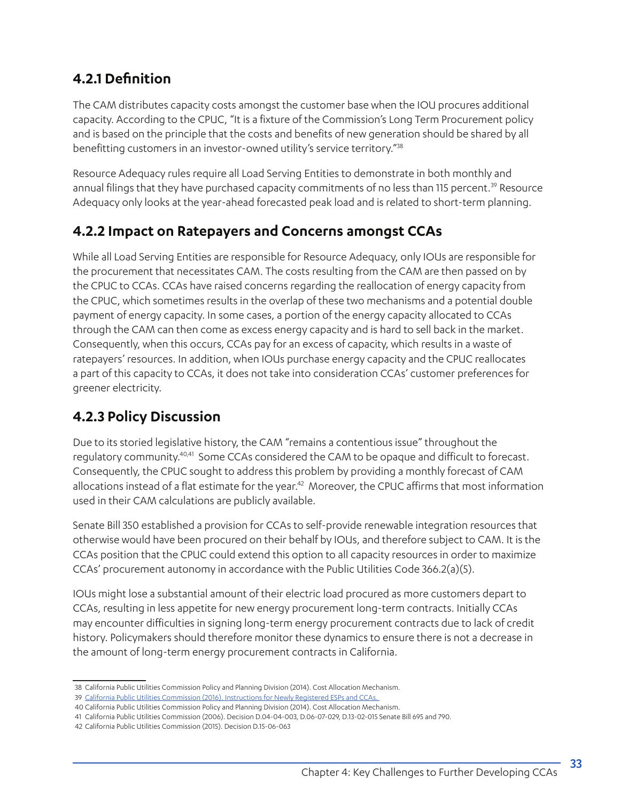## **4.2.1 Definition**

The CAM distributes capacity costs amongst the customer base when the IOU procures additional capacity. According to the CPUC, "It is a fixture of the Commission's Long Term Procurement policy and is based on the principle that the costs and benefits of new generation should be shared by all benefitting customers in an investor-owned utility's service territory."38

Resource Adequacy rules require all Load Serving Entities to demonstrate in both monthly and annual filings that they have purchased capacity commitments of no less than 115 percent.<sup>39</sup> Resource Adequacy only looks at the year-ahead forecasted peak load and is related to short-term planning.

### **4.2.2 Impact on Ratepayers and Concerns amongst CCAs**

While all Load Serving Entities are responsible for Resource Adequacy, only IOUs are responsible for the procurement that necessitates CAM. The costs resulting from the CAM are then passed on by the CPUC to CCAs. CCAs have raised concerns regarding the reallocation of energy capacity from the CPUC, which sometimes results in the overlap of these two mechanisms and a potential double payment of energy capacity. In some cases, a portion of the energy capacity allocated to CCAs through the CAM can then come as excess energy capacity and is hard to sell back in the market. Consequently, when this occurs, CCAs pay for an excess of capacity, which results in a waste of ratepayers' resources. In addition, when IOUs purchase energy capacity and the CPUC reallocates a part of this capacity to CCAs, it does not take into consideration CCAs' customer preferences for greener electricity.

## **4.2.3 Policy Discussion**

Due to its storied legislative history, the CAM "remains a contentious issue" throughout the regulatory community.<sup>40,41</sup> Some CCAs considered the CAM to be opaque and difficult to forecast. Consequently, the CPUC sought to address this problem by providing a monthly forecast of CAM allocations instead of a flat estimate for the year.<sup>42</sup> Moreover, the CPUC affirms that most information used in their CAM calculations are publicly available.

Senate Bill 350 established a provision for CCAs to self-provide renewable integration resources that otherwise would have been procured on their behalf by IOUs, and therefore subject to CAM. It is the CCAs position that the CPUC could extend this option to all capacity resources in order to maximize CCAs' procurement autonomy in accordance with the Public Utilities Code 366.2(a)(5).

IOUs might lose a substantial amount of their electric load procured as more customers depart to CCAs, resulting in less appetite for new energy procurement long-term contracts. Initially CCAs may encounter difficulties in signing long-term energy procurement contracts due to lack of credit history. Policymakers should therefore monitor these dynamics to ensure there is not a decrease in the amount of long-term energy procurement contracts in California.

<sup>38</sup> California Public Utilities Commission Policy and Planning Division (2014). Cost Allocation Mechanism.

<sup>39</sup> California Public Utilities Commission (2016). Instructions for Newly Registered ESPs and CCAs.

<sup>40</sup> California Public Utilities Commission Policy and Planning Division (2014). Cost Allocation Mechanism.

<sup>41</sup> California Public Utilities Commission (2006). Decision D.04-04-003, D.06-07-029, D.13-02-015 Senate Bill 695 and 790.

<sup>42</sup> California Public Utilities Commission (2015). Decision D.15-06-063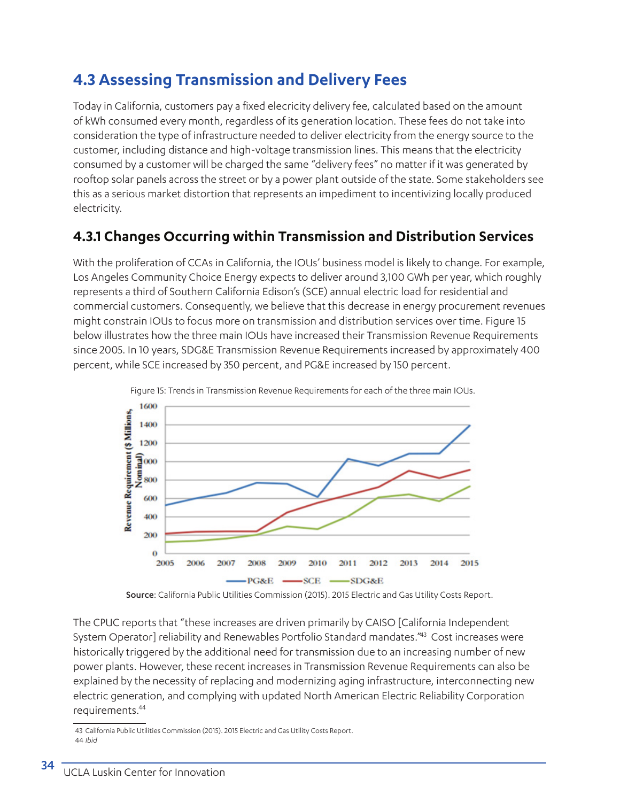## **4.3 Assessing Transmission and Delivery Fees**

Today in California, customers pay a fixed elecricity delivery fee, calculated based on the amount of kWh consumed every month, regardless of its generation location. These fees do not take into consideration the type of infrastructure needed to deliver electricity from the energy source to the customer, including distance and high-voltage transmission lines. This means that the electricity consumed by a customer will be charged the same "delivery fees" no matter if it was generated by rooftop solar panels across the street or by a power plant outside of the state. Some stakeholders see this as a serious market distortion that represents an impediment to incentivizing locally produced electricity.

### **4.3.1 Changes Occurring within Transmission and Distribution Services**

With the proliferation of CCAs in California, the IOUs' business model is likely to change. For example, Los Angeles Community Choice Energy expects to deliver around 3,100 GWh per year, which roughly represents a third of Southern California Edison's (SCE) annual electric load for residential and commercial customers. Consequently, we believe that this decrease in energy procurement revenues might constrain IOUs to focus more on transmission and distribution services over time. Figure 15 below illustrates how the three main IOUs have increased their Transmission Revenue Requirements since 2005. In 10 years, SDG&E Transmission Revenue Requirements increased by approximately 400 percent, while SCE increased by 350 percent, and PG&E increased by 150 percent.



Figure 15: Trends in Transmission Revenue Requirements for each of the three main IOUs.

Source: California Public Utilities Commission (2015). 2015 Electric and Gas Utility Costs Report.

The CPUC reports that "these increases are driven primarily by CAISO [California Independent System Operator] reliability and Renewables Portfolio Standard mandates."43 Cost increases were historically triggered by the additional need for transmission due to an increasing number of new power plants. However, these recent increases in Transmission Revenue Requirements can also be explained by the necessity of replacing and modernizing aging infrastructure, interconnecting new electric generation, and complying with updated North American Electric Reliability Corporation requirements.44

<sup>43</sup> California Public Utilities Commission (2015). 2015 Electric and Gas Utility Costs Report. 44 *Ibid*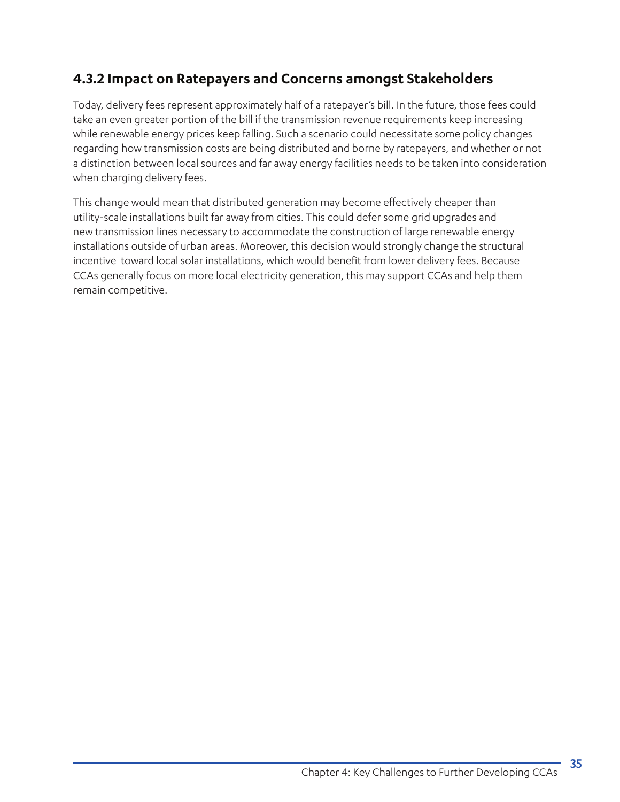## **4.3.2 Impact on Ratepayers and Concerns amongst Stakeholders**

Today, delivery fees represent approximately half of a ratepayer's bill. In the future, those fees could take an even greater portion of the bill if the transmission revenue requirements keep increasing while renewable energy prices keep falling. Such a scenario could necessitate some policy changes regarding how transmission costs are being distributed and borne by ratepayers, and whether or not a distinction between local sources and far away energy facilities needs to be taken into consideration when charging delivery fees.

This change would mean that distributed generation may become effectively cheaper than utility-scale installations built far away from cities. This could defer some grid upgrades and new transmission lines necessary to accommodate the construction of large renewable energy installations outside of urban areas. Moreover, this decision would strongly change the structural incentive toward local solar installations, which would benefit from lower delivery fees. Because CCAs generally focus on more local electricity generation, this may support CCAs and help them remain competitive.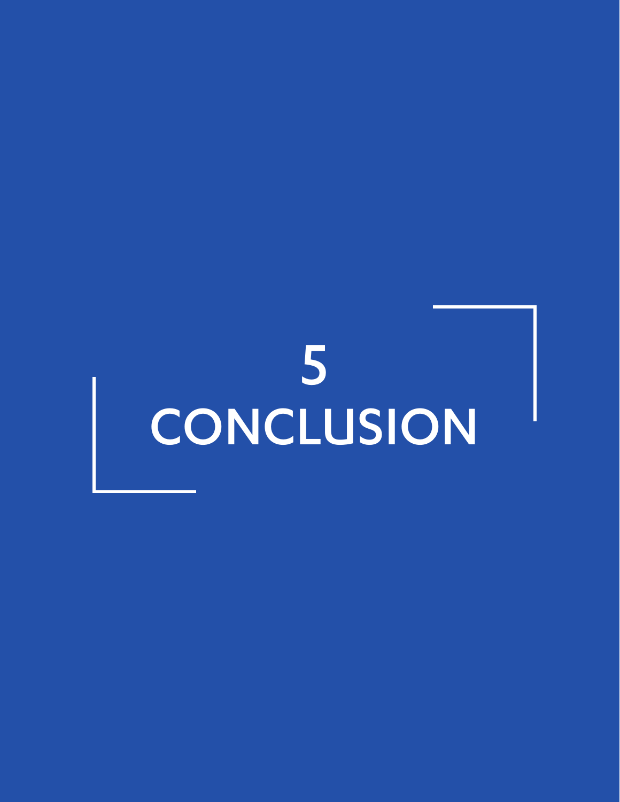